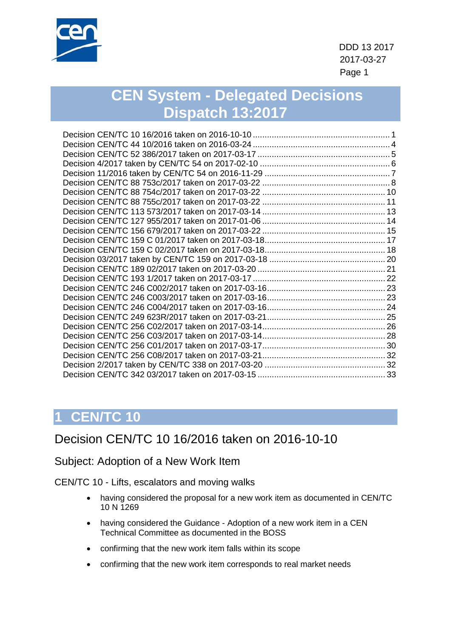

 DDD 13 2017 2017-03-27 en de la provincia de la provincia de la provincia de la provincia de la provincia de la provincia de la provi

# **CEN System - Delegated Decisions Dispatch 13:2017**

# **1 CEN/TC 10**

## <span id="page-0-0"></span>Decision CEN/TC 10 16/2016 taken on 2016-10-10

Subject: Adoption of a New Work Item

CEN/TC 10 - Lifts, escalators and moving walks

- having considered the proposal for a new work item as documented in CEN/TC 10 N 1269
- having considered the Guidance Adoption of a new work item in a CEN Technical Committee as documented in the BOSS
- confirming that the new work item falls within its scope
- confirming that the new work item corresponds to real market needs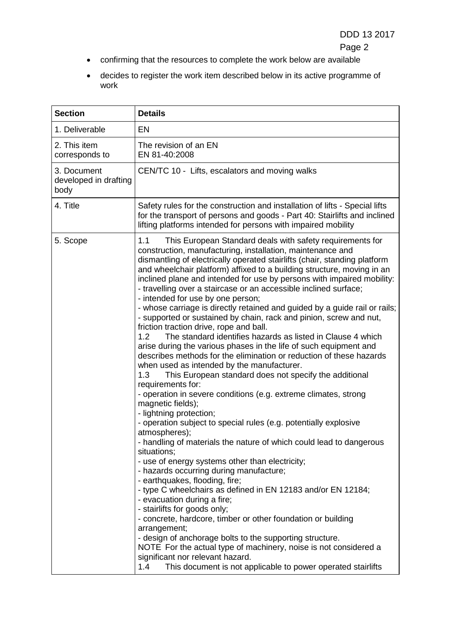- confirming that the resources to complete the work below are available
- decides to register the work item described below in its active programme of work

| <b>Section</b>                               | <b>Details</b>                                                                                                                                                                                                                                                                                                                                                                                                                                                                                                                                                                                                                                                                                                                                                                                                                                                                                                                                                                                                                                                                                                                                                                                                                                                                                                                                                                                                                                                                                                                                                                                                                                                                                                                                                                                                                                                                                                                   |
|----------------------------------------------|----------------------------------------------------------------------------------------------------------------------------------------------------------------------------------------------------------------------------------------------------------------------------------------------------------------------------------------------------------------------------------------------------------------------------------------------------------------------------------------------------------------------------------------------------------------------------------------------------------------------------------------------------------------------------------------------------------------------------------------------------------------------------------------------------------------------------------------------------------------------------------------------------------------------------------------------------------------------------------------------------------------------------------------------------------------------------------------------------------------------------------------------------------------------------------------------------------------------------------------------------------------------------------------------------------------------------------------------------------------------------------------------------------------------------------------------------------------------------------------------------------------------------------------------------------------------------------------------------------------------------------------------------------------------------------------------------------------------------------------------------------------------------------------------------------------------------------------------------------------------------------------------------------------------------------|
| 1. Deliverable                               | <b>EN</b>                                                                                                                                                                                                                                                                                                                                                                                                                                                                                                                                                                                                                                                                                                                                                                                                                                                                                                                                                                                                                                                                                                                                                                                                                                                                                                                                                                                                                                                                                                                                                                                                                                                                                                                                                                                                                                                                                                                        |
| 2. This item<br>corresponds to               | The revision of an EN<br>EN 81-40:2008                                                                                                                                                                                                                                                                                                                                                                                                                                                                                                                                                                                                                                                                                                                                                                                                                                                                                                                                                                                                                                                                                                                                                                                                                                                                                                                                                                                                                                                                                                                                                                                                                                                                                                                                                                                                                                                                                           |
| 3. Document<br>developed in drafting<br>body | CEN/TC 10 - Lifts, escalators and moving walks                                                                                                                                                                                                                                                                                                                                                                                                                                                                                                                                                                                                                                                                                                                                                                                                                                                                                                                                                                                                                                                                                                                                                                                                                                                                                                                                                                                                                                                                                                                                                                                                                                                                                                                                                                                                                                                                                   |
| 4. Title                                     | Safety rules for the construction and installation of lifts - Special lifts<br>for the transport of persons and goods - Part 40: Stairlifts and inclined<br>lifting platforms intended for persons with impaired mobility                                                                                                                                                                                                                                                                                                                                                                                                                                                                                                                                                                                                                                                                                                                                                                                                                                                                                                                                                                                                                                                                                                                                                                                                                                                                                                                                                                                                                                                                                                                                                                                                                                                                                                        |
| 5. Scope                                     | 1.1<br>This European Standard deals with safety requirements for<br>construction, manufacturing, installation, maintenance and<br>dismantling of electrically operated stairlifts (chair, standing platform<br>and wheelchair platform) affixed to a building structure, moving in an<br>inclined plane and intended for use by persons with impaired mobility:<br>- travelling over a staircase or an accessible inclined surface;<br>- intended for use by one person;<br>- whose carriage is directly retained and guided by a guide rail or rails;<br>- supported or sustained by chain, rack and pinion, screw and nut,<br>friction traction drive, rope and ball.<br>The standard identifies hazards as listed in Clause 4 which<br>1.2 <sub>1</sub><br>arise during the various phases in the life of such equipment and<br>describes methods for the elimination or reduction of these hazards<br>when used as intended by the manufacturer.<br>1.3<br>This European standard does not specify the additional<br>requirements for:<br>- operation in severe conditions (e.g. extreme climates, strong<br>magnetic fields);<br>- lightning protection;<br>- operation subject to special rules (e.g. potentially explosive<br>atmospheres);<br>handling of materials the nature of which could lead to dangerous<br>situations;<br>- use of energy systems other than electricity;<br>- hazards occurring during manufacture;<br>- earthquakes, flooding, fire;<br>- type C wheelchairs as defined in EN 12183 and/or EN 12184;<br>- evacuation during a fire;<br>- stairlifts for goods only;<br>- concrete, hardcore, timber or other foundation or building<br>arrangement;<br>- design of anchorage bolts to the supporting structure.<br>NOTE For the actual type of machinery, noise is not considered a<br>significant nor relevant hazard.<br>This document is not applicable to power operated stairlifts<br>1.4 |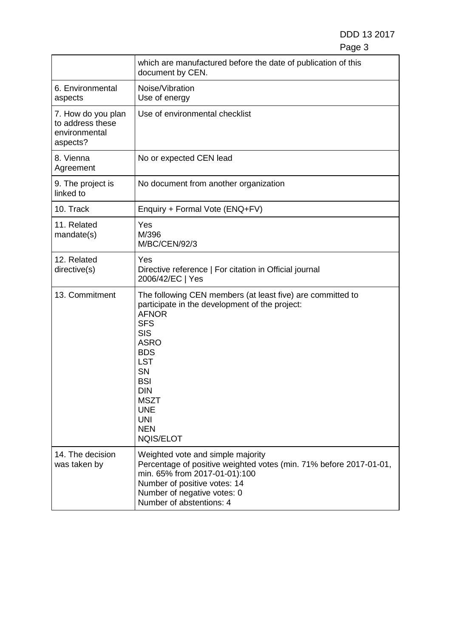### DDD 13 2017 en de la provincia de la provincia de la provincia de la provincia de la provincia de la provincia de la provi

|                                                                     | which are manufactured before the date of publication of this<br>document by CEN.                                                                                                                                                                                                                                  |
|---------------------------------------------------------------------|--------------------------------------------------------------------------------------------------------------------------------------------------------------------------------------------------------------------------------------------------------------------------------------------------------------------|
| 6. Environmental<br>aspects                                         | Noise/Vibration<br>Use of energy                                                                                                                                                                                                                                                                                   |
| 7. How do you plan<br>to address these<br>environmental<br>aspects? | Use of environmental checklist                                                                                                                                                                                                                                                                                     |
| 8. Vienna<br>Agreement                                              | No or expected CEN lead                                                                                                                                                                                                                                                                                            |
| 9. The project is<br>linked to                                      | No document from another organization                                                                                                                                                                                                                                                                              |
| 10. Track                                                           | Enquiry + Formal Vote (ENQ+FV)                                                                                                                                                                                                                                                                                     |
| 11. Related<br>mandate(s)                                           | Yes<br>M/396<br><b>M/BC/CEN/92/3</b>                                                                                                                                                                                                                                                                               |
| 12. Related<br>directive(s)                                         | Yes<br>Directive reference   For citation in Official journal<br>2006/42/EC   Yes                                                                                                                                                                                                                                  |
| 13. Commitment                                                      | The following CEN members (at least five) are committed to<br>participate in the development of the project:<br><b>AFNOR</b><br><b>SFS</b><br><b>SIS</b><br><b>ASRO</b><br><b>BDS</b><br><b>LST</b><br>SN<br><b>BSI</b><br><b>DIN</b><br><b>MSZT</b><br><b>UNE</b><br><b>UNI</b><br><b>NEN</b><br><b>NQIS/ELOT</b> |
| 14. The decision<br>was taken by                                    | Weighted vote and simple majority<br>Percentage of positive weighted votes (min. 71% before 2017-01-01,<br>min. 65% from 2017-01-01):100<br>Number of positive votes: 14<br>Number of negative votes: 0<br>Number of abstentions: 4                                                                                |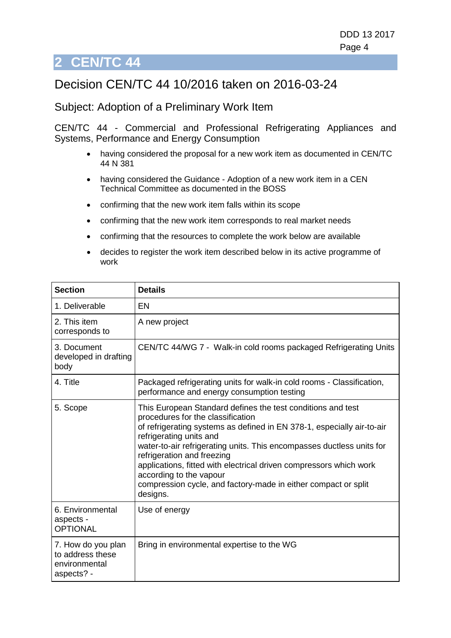## <span id="page-3-0"></span>Decision CEN/TC 44 10/2016 taken on 2016-03-24

#### Subject: Adoption of a Preliminary Work Item

CEN/TC 44 - Commercial and Professional Refrigerating Appliances and Systems, Performance and Energy Consumption

- having considered the proposal for a new work item as documented in CEN/TC 44 N 381
- having considered the Guidance Adoption of a new work item in a CEN Technical Committee as documented in the BOSS
- confirming that the new work item falls within its scope
- confirming that the new work item corresponds to real market needs
- confirming that the resources to complete the work below are available
- decides to register the work item described below in its active programme of work

| <b>Section</b>                                                        | <b>Details</b>                                                                                                                                                                                                                                                                                                                                                                                                                                                                              |
|-----------------------------------------------------------------------|---------------------------------------------------------------------------------------------------------------------------------------------------------------------------------------------------------------------------------------------------------------------------------------------------------------------------------------------------------------------------------------------------------------------------------------------------------------------------------------------|
| 1. Deliverable                                                        | EN                                                                                                                                                                                                                                                                                                                                                                                                                                                                                          |
| 2. This item<br>corresponds to                                        | A new project                                                                                                                                                                                                                                                                                                                                                                                                                                                                               |
| 3. Document<br>developed in drafting<br>body                          | CEN/TC 44/WG 7 - Walk-in cold rooms packaged Refrigerating Units                                                                                                                                                                                                                                                                                                                                                                                                                            |
| 4. Title                                                              | Packaged refrigerating units for walk-in cold rooms - Classification,<br>performance and energy consumption testing                                                                                                                                                                                                                                                                                                                                                                         |
| 5. Scope                                                              | This European Standard defines the test conditions and test<br>procedures for the classification<br>of refrigerating systems as defined in EN 378-1, especially air-to-air<br>refrigerating units and<br>water-to-air refrigerating units. This encompasses ductless units for<br>refrigeration and freezing<br>applications, fitted with electrical driven compressors which work<br>according to the vapour<br>compression cycle, and factory-made in either compact or split<br>designs. |
| 6. Environmental<br>aspects -<br><b>OPTIONAL</b>                      | Use of energy                                                                                                                                                                                                                                                                                                                                                                                                                                                                               |
| 7. How do you plan<br>to address these<br>environmental<br>aspects? - | Bring in environmental expertise to the WG                                                                                                                                                                                                                                                                                                                                                                                                                                                  |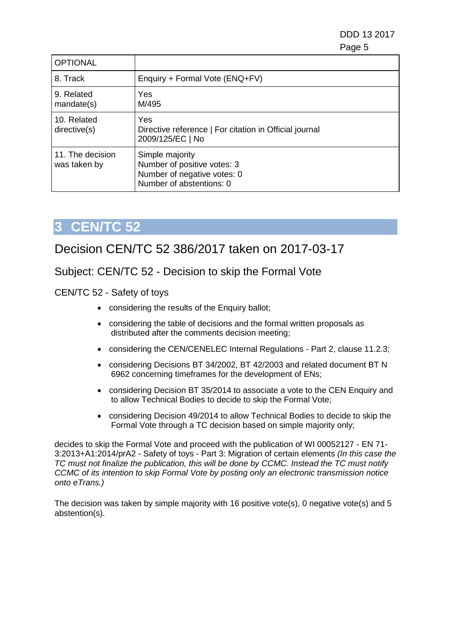DDD 13 2017 en de la provincia de la provincia de la provincia de la provincia de la provincia de la provincia de la provi

| <b>OPTIONAL</b>                  |                                                                                                           |
|----------------------------------|-----------------------------------------------------------------------------------------------------------|
| 8. Track                         | Enquiry + Formal Vote (ENQ+FV)                                                                            |
| 9. Related<br>mandate(s)         | Yes<br>M/495                                                                                              |
| 10. Related<br>directive(s)      | Yes<br>Directive reference   For citation in Official journal<br>2009/125/EC   No                         |
| 11. The decision<br>was taken by | Simple majority<br>Number of positive votes: 3<br>Number of negative votes: 0<br>Number of abstentions: 0 |

# **3 CEN/TC 52**

### <span id="page-4-0"></span>Decision CEN/TC 52 386/2017 taken on 2017-03-17

### Subject: CEN/TC 52 - Decision to skip the Formal Vote

CEN/TC 52 - Safety of toys

- considering the results of the Enquiry ballot;
- considering the table of decisions and the formal written proposals as distributed after the comments decision meeting;
- considering the CEN/CENELEC Internal Regulations Part 2, clause 11.2.3;
- considering Decisions BT 34/2002, BT 42/2003 and related document BT N 6962 concerning timeframes for the development of ENs;
- considering Decision BT 35/2014 to associate a vote to the CEN Enquiry and to allow Technical Bodies to decide to skip the Formal Vote;
- considering Decision 49/2014 to allow Technical Bodies to decide to skip the Formal Vote through a TC decision based on simple majority only;

decides to skip the Formal Vote and proceed with the publication of WI 00052127 - EN 71- 3:2013+A1:2014/prA2 - Safety of toys - Part 3: Migration of certain elements *(In this case the TC must not finalize the publication, this will be done by CCMC. Instead the TC must notify CCMC of its intention to skip Formal Vote by posting only an electronic transmission notice onto eTrans.)*

The decision was taken by simple majority with 16 positive vote(s), 0 negative vote(s) and 5 abstention(s).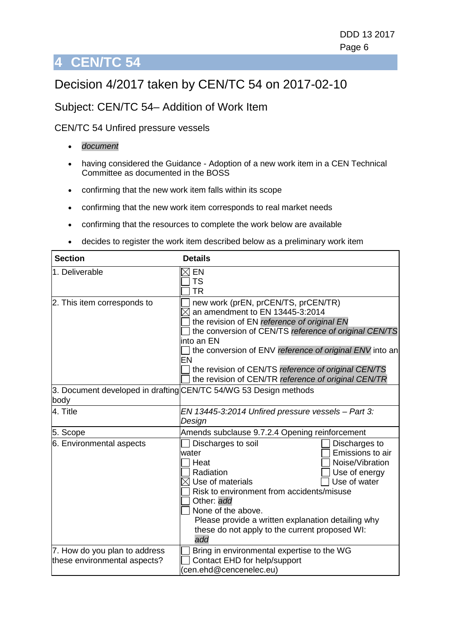# <span id="page-5-0"></span>Decision 4/2017 taken by CEN/TC 54 on 2017-02-10

### Subject: CEN/TC 54– Addition of Work Item

#### CEN/TC 54 Unfired pressure vessels

- *document*
- having considered the Guidance Adoption of a new work item in a CEN Technical Committee as documented in the BOSS
- confirming that the new work item falls within its scope
- confirming that the new work item corresponds to real market needs
- confirming that the resources to complete the work below are available
- decides to register the work item described below as a preliminary work item

| 1. Deliverable              | EN<br><b>TS</b><br><b>TR</b>                                                                                                                                                                                                                                                                                                                                                 |
|-----------------------------|------------------------------------------------------------------------------------------------------------------------------------------------------------------------------------------------------------------------------------------------------------------------------------------------------------------------------------------------------------------------------|
| 2. This item corresponds to | new work (prEN, prCEN/TS, prCEN/TR)<br>an amendment to EN 13445-3:2014<br>the revision of EN reference of original EN<br>the conversion of CEN/TS reference of original CEN/TS<br>linto an EN<br>the conversion of ENV reference of original ENV into an<br>EN<br>the revision of CEN/TS reference of original CEN/TS<br>the revision of CEN/TR reference of original CEN/TR |
| body                        | 3. Document developed in drafting CEN/TC 54/WG 53 Design methods                                                                                                                                                                                                                                                                                                             |
| 4. Title                    | EN 13445-3:2014 Unfired pressure vessels - Part 3:<br>Design                                                                                                                                                                                                                                                                                                                 |
| 5. Scope                    | Amends subclause 9.7.2.4 Opening reinforcement                                                                                                                                                                                                                                                                                                                               |
| 6. Environmental aspects    | Discharges to soil<br>Discharges to<br>Emissions to air<br>water<br>Noise/Vibration<br>Heat<br>Radiation<br>Use of energy<br>Use of water<br>$\boxtimes$ Use of materials<br>Risk to environment from accidents/misuse<br>Other: add<br>None of the above.<br>Please provide a written explanation detailing why<br>these do not apply to the current proposed WI:<br>add    |
|                             | Bring in environmental expertise to the WG                                                                                                                                                                                                                                                                                                                                   |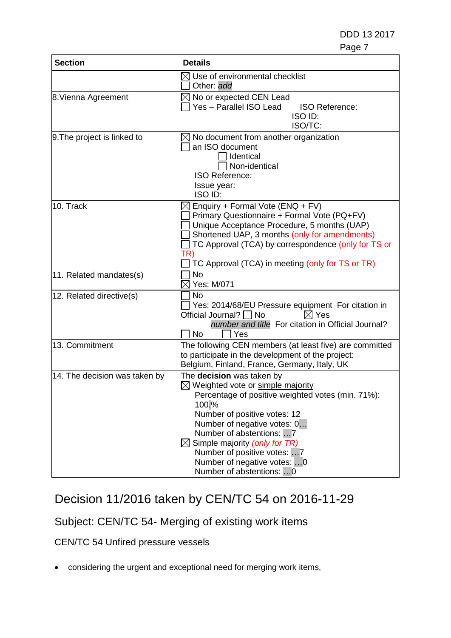| <b>Section</b>                | <b>Details</b>                                                                                                                                                                                                                                                                                                                                                 |
|-------------------------------|----------------------------------------------------------------------------------------------------------------------------------------------------------------------------------------------------------------------------------------------------------------------------------------------------------------------------------------------------------------|
|                               | Use of environmental checklist<br>Other: add                                                                                                                                                                                                                                                                                                                   |
| 8. Vienna Agreement           | No or expected CEN Lead<br>Yes - Parallel ISO Lead<br><b>ISO Reference:</b><br>ISO ID:<br>ISO/TC:                                                                                                                                                                                                                                                              |
| 9. The project is linked to   | No document from another organization<br>an ISO document<br>Identical<br>Non-identical<br><b>ISO Reference:</b><br>Issue year:<br>ISO ID:                                                                                                                                                                                                                      |
| 10. Track                     | Enquiry + Formal Vote (ENQ + FV)<br>Primary Questionnaire + Formal Vote (PQ+FV)<br>Unique Acceptance Procedure, 5 months (UAP)<br>Shortened UAP, 3 months (only for amendments)<br>TC Approval (TCA) by correspondence (only for TS or<br>TR)<br>TC Approval (TCA) in meeting (only for TS or TR)                                                              |
| 11. Related mandates(s)       | <b>No</b><br>∇ Yes; M/071                                                                                                                                                                                                                                                                                                                                      |
| 12. Related directive(s)      | <b>No</b><br>Yes: 2014/68/EU Pressure equipment For citation in<br>Official Journal? $\Box$ No<br>$\boxtimes$ Yes<br>number and title For citation in Official Journal?<br>N <sub>o</sub><br>Yes                                                                                                                                                               |
| 13. Commitment                | The following CEN members (at least five) are committed<br>to participate in the development of the project:<br>Belgium, Finland, France, Germany, Italy, UK                                                                                                                                                                                                   |
| 14. The decision was taken by | The decision was taken by<br>$\boxtimes$ Weighted vote or simple majority<br>Percentage of positive weighted votes (min. 71%):<br>100.%<br>Number of positive votes: 12<br>Number of negative votes: 0<br>Number of abstentions: 7<br>Simple majority (only for TR)<br>Number of positive votes: 7<br>Number of negative votes: 0<br>Number of abstentions:  0 |

# <span id="page-6-0"></span>Decision 11/2016 taken by CEN/TC 54 on 2016-11-29

## Subject: CEN/TC 54- Merging of existing work items

CEN/TC 54 Unfired pressure vessels

• considering the urgent and exceptional need for merging work items,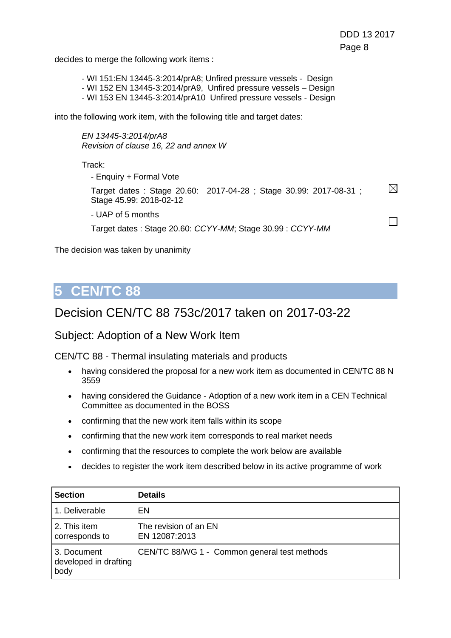$\Box$ 

decides to merge the following work items :

- WI 151:EN 13445-3:2014/prA8; Unfired pressure vessels - Design - WI 152 EN 13445-3:2014/prA9, Unfired pressure vessels – Design - WI 153 EN 13445-3:2014/prA10 Unfired pressure vessels - Design

into the following work item, with the following title and target dates:

*EN 13445-3:2014/prA8 Revision of clause 16, 22 and annex W*

Track:

- Enquiry + Formal Vote

 $\boxtimes$ Target dates : Stage 20.60: 2017-04-28 ; Stage 30.99: 2017-08-31 ; Stage 45.99: 2018-02-12

- UAP of 5 months

Target dates : Stage 20.60: *CCYY-MM*; Stage 30.99 : *CCYY-MM*

The decision was taken by unanimity

## **5 CEN/TC 88**

### <span id="page-7-0"></span>Decision CEN/TC 88 753c/2017 taken on 2017-03-22

Subject: Adoption of a New Work Item

CEN/TC 88 - Thermal insulating materials and products

- having considered the proposal for a new work item as documented in CEN/TC 88 N 3559
- having considered the Guidance Adoption of a new work item in a CEN Technical Committee as documented in the BOSS
- confirming that the new work item falls within its scope
- confirming that the new work item corresponds to real market needs
- confirming that the resources to complete the work below are available
- decides to register the work item described below in its active programme of work

| <b>Section</b>                               | <b>Details</b>                               |
|----------------------------------------------|----------------------------------------------|
| 1. Deliverable                               | EN                                           |
| 2. This item<br>corresponds to               | The revision of an EN<br>EN 12087:2013       |
| 3. Document<br>developed in drafting<br>body | CEN/TC 88/WG 1 - Common general test methods |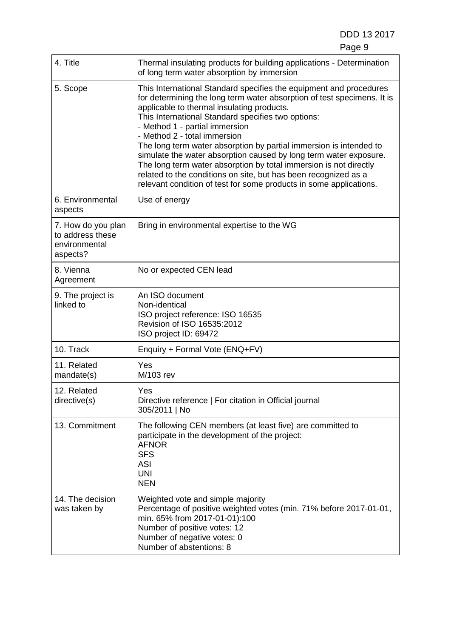DDD 13 2017

| 4. Title                                                            | Thermal insulating products for building applications - Determination<br>of long term water absorption by immersion                                                                                                                                                                                                                                                                                                                                                                                                                                                                                                                                                          |
|---------------------------------------------------------------------|------------------------------------------------------------------------------------------------------------------------------------------------------------------------------------------------------------------------------------------------------------------------------------------------------------------------------------------------------------------------------------------------------------------------------------------------------------------------------------------------------------------------------------------------------------------------------------------------------------------------------------------------------------------------------|
| 5. Scope                                                            | This International Standard specifies the equipment and procedures<br>for determining the long term water absorption of test specimens. It is<br>applicable to thermal insulating products.<br>This International Standard specifies two options:<br>- Method 1 - partial immersion<br>- Method 2 - total immersion<br>The long term water absorption by partial immersion is intended to<br>simulate the water absorption caused by long term water exposure.<br>The long term water absorption by total immersion is not directly<br>related to the conditions on site, but has been recognized as a<br>relevant condition of test for some products in some applications. |
| 6. Environmental<br>aspects                                         | Use of energy                                                                                                                                                                                                                                                                                                                                                                                                                                                                                                                                                                                                                                                                |
| 7. How do you plan<br>to address these<br>environmental<br>aspects? | Bring in environmental expertise to the WG                                                                                                                                                                                                                                                                                                                                                                                                                                                                                                                                                                                                                                   |
| 8. Vienna<br>Agreement                                              | No or expected CEN lead                                                                                                                                                                                                                                                                                                                                                                                                                                                                                                                                                                                                                                                      |
| 9. The project is<br>linked to                                      | An ISO document<br>Non-identical<br>ISO project reference: ISO 16535<br>Revision of ISO 16535:2012<br>ISO project ID: 69472                                                                                                                                                                                                                                                                                                                                                                                                                                                                                                                                                  |
| 10. Track                                                           | Enquiry + Formal Vote (ENQ+FV)                                                                                                                                                                                                                                                                                                                                                                                                                                                                                                                                                                                                                                               |
| 11. Related<br>mandate(s)                                           | Yes<br>M/103 rev                                                                                                                                                                                                                                                                                                                                                                                                                                                                                                                                                                                                                                                             |
| 12. Related<br>directive(s)                                         | Yes<br>Directive reference   For citation in Official journal<br>305/2011   No                                                                                                                                                                                                                                                                                                                                                                                                                                                                                                                                                                                               |
| 13. Commitment                                                      | The following CEN members (at least five) are committed to<br>participate in the development of the project:<br><b>AFNOR</b><br><b>SFS</b><br><b>ASI</b><br><b>UNI</b><br><b>NEN</b>                                                                                                                                                                                                                                                                                                                                                                                                                                                                                         |
| 14. The decision<br>was taken by                                    | Weighted vote and simple majority<br>Percentage of positive weighted votes (min. 71% before 2017-01-01,<br>min. 65% from 2017-01-01):100<br>Number of positive votes: 12<br>Number of negative votes: 0<br>Number of abstentions: 8                                                                                                                                                                                                                                                                                                                                                                                                                                          |

e de la provincia de la provincia de la provincia de la provincia de la provincia de la provincia de la provincia d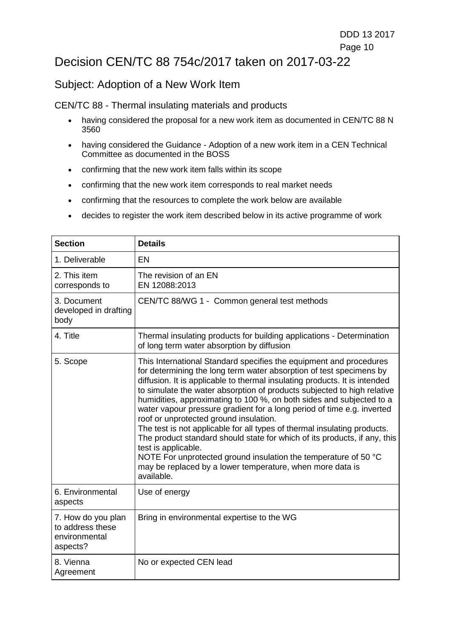### <span id="page-9-0"></span>Decision CEN/TC 88 754c/2017 taken on 2017-03-22

### Subject: Adoption of a New Work Item

CEN/TC 88 - Thermal insulating materials and products

- having considered the proposal for a new work item as documented in CEN/TC 88 N 3560
- having considered the Guidance Adoption of a new work item in a CEN Technical Committee as documented in the BOSS
- confirming that the new work item falls within its scope
- confirming that the new work item corresponds to real market needs
- confirming that the resources to complete the work below are available
- decides to register the work item described below in its active programme of work

| <b>Section</b>                                                      | <b>Details</b>                                                                                                                                                                                                                                                                                                                                                                                                                                                                                                                                                                                                                                                                                                                                                                                                               |
|---------------------------------------------------------------------|------------------------------------------------------------------------------------------------------------------------------------------------------------------------------------------------------------------------------------------------------------------------------------------------------------------------------------------------------------------------------------------------------------------------------------------------------------------------------------------------------------------------------------------------------------------------------------------------------------------------------------------------------------------------------------------------------------------------------------------------------------------------------------------------------------------------------|
| 1. Deliverable                                                      | EN                                                                                                                                                                                                                                                                                                                                                                                                                                                                                                                                                                                                                                                                                                                                                                                                                           |
| 2. This item<br>corresponds to                                      | The revision of an EN<br>EN 12088:2013                                                                                                                                                                                                                                                                                                                                                                                                                                                                                                                                                                                                                                                                                                                                                                                       |
| 3. Document<br>developed in drafting<br>body                        | CEN/TC 88/WG 1 - Common general test methods                                                                                                                                                                                                                                                                                                                                                                                                                                                                                                                                                                                                                                                                                                                                                                                 |
| 4. Title                                                            | Thermal insulating products for building applications - Determination<br>of long term water absorption by diffusion                                                                                                                                                                                                                                                                                                                                                                                                                                                                                                                                                                                                                                                                                                          |
| 5. Scope                                                            | This International Standard specifies the equipment and procedures<br>for determining the long term water absorption of test specimens by<br>diffusion. It is applicable to thermal insulating products. It is intended<br>to simulate the water absorption of products subjected to high relative<br>humidities, approximating to 100 %, on both sides and subjected to a<br>water vapour pressure gradient for a long period of time e.g. inverted<br>roof or unprotected ground insulation.<br>The test is not applicable for all types of thermal insulating products.<br>The product standard should state for which of its products, if any, this<br>test is applicable.<br>NOTE For unprotected ground insulation the temperature of 50 °C<br>may be replaced by a lower temperature, when more data is<br>available. |
| 6. Environmental<br>aspects                                         | Use of energy                                                                                                                                                                                                                                                                                                                                                                                                                                                                                                                                                                                                                                                                                                                                                                                                                |
| 7. How do you plan<br>to address these<br>environmental<br>aspects? | Bring in environmental expertise to the WG                                                                                                                                                                                                                                                                                                                                                                                                                                                                                                                                                                                                                                                                                                                                                                                   |
| 8. Vienna<br>Agreement                                              | No or expected CEN lead                                                                                                                                                                                                                                                                                                                                                                                                                                                                                                                                                                                                                                                                                                                                                                                                      |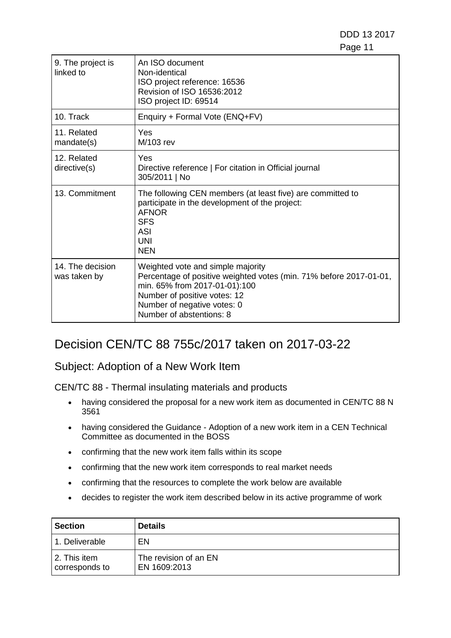DDD 13 2017 en de la provincia de la provincia de la provincia de la provincia de la provincia de la provincia de la provi

| 9. The project is<br>linked to   | An ISO document<br>Non-identical<br>ISO project reference: 16536<br>Revision of ISO 16536:2012<br>ISO project ID: 69514                                                                                                             |
|----------------------------------|-------------------------------------------------------------------------------------------------------------------------------------------------------------------------------------------------------------------------------------|
| 10. Track                        | Enquiry + Formal Vote (ENQ+FV)                                                                                                                                                                                                      |
| 11. Related<br>mandate(s)        | Yes<br>M/103 rev                                                                                                                                                                                                                    |
| 12. Related<br>directive(s)      | Yes<br>Directive reference   For citation in Official journal<br>305/2011   No                                                                                                                                                      |
| 13. Commitment                   | The following CEN members (at least five) are committed to<br>participate in the development of the project:<br><b>AFNOR</b><br><b>SFS</b><br><b>ASI</b><br><b>UNI</b><br><b>NEN</b>                                                |
| 14. The decision<br>was taken by | Weighted vote and simple majority<br>Percentage of positive weighted votes (min. 71% before 2017-01-01,<br>min. 65% from 2017-01-01):100<br>Number of positive votes: 12<br>Number of negative votes: 0<br>Number of abstentions: 8 |

### <span id="page-10-0"></span>Decision CEN/TC 88 755c/2017 taken on 2017-03-22

#### Subject: Adoption of a New Work Item

CEN/TC 88 - Thermal insulating materials and products

- having considered the proposal for a new work item as documented in CEN/TC 88 N 3561
- having considered the Guidance Adoption of a new work item in a CEN Technical Committee as documented in the BOSS
- confirming that the new work item falls within its scope
- confirming that the new work item corresponds to real market needs
- confirming that the resources to complete the work below are available
- decides to register the work item described below in its active programme of work

| <b>Section</b>                 | <b>Details</b>                        |
|--------------------------------|---------------------------------------|
| 1. Deliverable                 | EN                                    |
| 2. This item<br>corresponds to | The revision of an EN<br>EN 1609:2013 |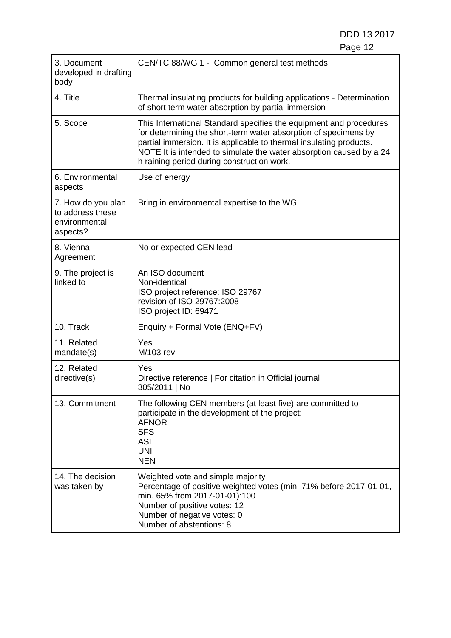| 3. Document<br>developed in drafting<br>body                        | CEN/TC 88/WG 1 - Common general test methods                                                                                                                                                                                                                                                                                      |
|---------------------------------------------------------------------|-----------------------------------------------------------------------------------------------------------------------------------------------------------------------------------------------------------------------------------------------------------------------------------------------------------------------------------|
| 4. Title                                                            | Thermal insulating products for building applications - Determination<br>of short term water absorption by partial immersion                                                                                                                                                                                                      |
| 5. Scope                                                            | This International Standard specifies the equipment and procedures<br>for determining the short-term water absorption of specimens by<br>partial immersion. It is applicable to thermal insulating products.<br>NOTE It is intended to simulate the water absorption caused by a 24<br>h raining period during construction work. |
| 6. Environmental<br>aspects                                         | Use of energy                                                                                                                                                                                                                                                                                                                     |
| 7. How do you plan<br>to address these<br>environmental<br>aspects? | Bring in environmental expertise to the WG                                                                                                                                                                                                                                                                                        |
| 8. Vienna<br>Agreement                                              | No or expected CEN lead                                                                                                                                                                                                                                                                                                           |
| 9. The project is<br>linked to                                      | An ISO document<br>Non-identical<br>ISO project reference: ISO 29767<br>revision of ISO 29767:2008<br>ISO project ID: 69471                                                                                                                                                                                                       |
| 10. Track                                                           | Enquiry + Formal Vote (ENQ+FV)                                                                                                                                                                                                                                                                                                    |
| 11. Related<br>mandate(s)                                           | Yes<br>M/103 rev                                                                                                                                                                                                                                                                                                                  |
| 12. Related<br>directive(s)                                         | Yes<br>Directive reference   For citation in Official journal<br>305/2011   No                                                                                                                                                                                                                                                    |
| 13. Commitment                                                      | The following CEN members (at least five) are committed to<br>participate in the development of the project:<br><b>AFNOR</b><br><b>SFS</b><br><b>ASI</b><br><b>UNI</b><br><b>NEN</b>                                                                                                                                              |
| 14. The decision<br>was taken by                                    | Weighted vote and simple majority<br>Percentage of positive weighted votes (min. 71% before 2017-01-01,<br>min. 65% from 2017-01-01):100<br>Number of positive votes: 12<br>Number of negative votes: 0<br>Number of abstentions: 8                                                                                               |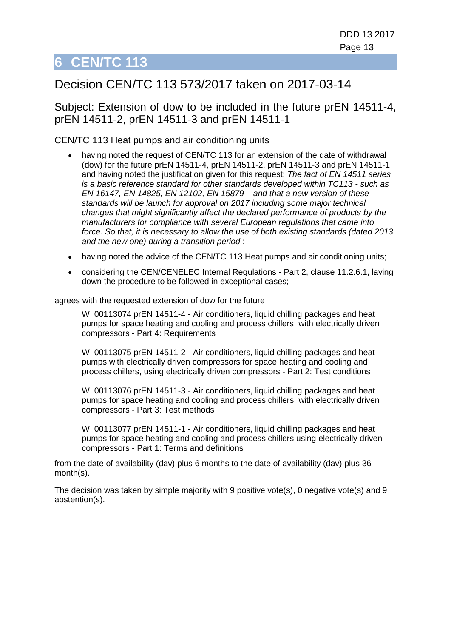## <span id="page-12-0"></span>Decision CEN/TC 113 573/2017 taken on 2017-03-14

Subject: Extension of dow to be included in the future prEN 14511-4, prEN 14511-2, prEN 14511-3 and prEN 14511-1

#### CEN/TC 113 Heat pumps and air conditioning units

- having noted the request of CEN/TC 113 for an extension of the date of withdrawal (dow) for the future prEN 14511-4, prEN 14511-2, prEN 14511-3 and prEN 14511-1 and having noted the justification given for this request: *The fact of EN 14511 series is a basic reference standard for other standards developed within TC113 - such as EN 16147, EN 14825, EN 12102, EN 15879 – and that a new version of these standards will be launch for approval on 2017 including some major technical changes that might significantly affect the declared performance of products by the manufacturers for compliance with several European regulations that came into force. So that, it is necessary to allow the use of both existing standards (dated 2013 and the new one) during a transition period.*;
- having noted the advice of the CEN/TC 113 Heat pumps and air conditioning units;
- considering the CEN/CENELEC Internal Regulations Part 2, clause 11.2.6.1, laying down the procedure to be followed in exceptional cases;

agrees with the requested extension of dow for the future

WI 00113074 prEN 14511-4 - Air conditioners, liquid chilling packages and heat pumps for space heating and cooling and process chillers, with electrically driven compressors - Part 4: Requirements

WI 00113075 prEN 14511-2 - Air conditioners, liquid chilling packages and heat pumps with electrically driven compressors for space heating and cooling and process chillers, using electrically driven compressors - Part 2: Test conditions

WI 00113076 prEN 14511-3 - Air conditioners, liquid chilling packages and heat pumps for space heating and cooling and process chillers, with electrically driven compressors - Part 3: Test methods

WI 00113077 prEN 14511-1 - Air conditioners, liquid chilling packages and heat pumps for space heating and cooling and process chillers using electrically driven compressors - Part 1: Terms and definitions

from the date of availability (dav) plus 6 months to the date of availability (dav) plus 36 month(s).

The decision was taken by simple majority with 9 positive vote(s), 0 negative vote(s) and 9 abstention(s).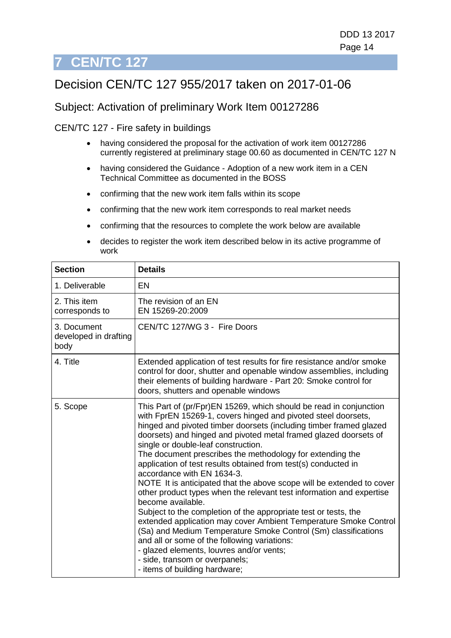# <span id="page-13-0"></span>Decision CEN/TC 127 955/2017 taken on 2017-01-06

### Subject: Activation of preliminary Work Item 00127286

CEN/TC 127 - Fire safety in buildings

- having considered the proposal for the activation of work item 00127286 currently registered at preliminary stage 00.60 as documented in CEN/TC 127 N
- having considered the Guidance Adoption of a new work item in a CEN Technical Committee as documented in the BOSS
- confirming that the new work item falls within its scope
- confirming that the new work item corresponds to real market needs
- confirming that the resources to complete the work below are available
- decides to register the work item described below in its active programme of work

| <b>Section</b>                               | <b>Details</b>                                                                                                                                                                                                                                                                                                                                                                                                                                                                                                                                                                                                                                                                                                                                                                                                                                                                                                                                                                                                                  |
|----------------------------------------------|---------------------------------------------------------------------------------------------------------------------------------------------------------------------------------------------------------------------------------------------------------------------------------------------------------------------------------------------------------------------------------------------------------------------------------------------------------------------------------------------------------------------------------------------------------------------------------------------------------------------------------------------------------------------------------------------------------------------------------------------------------------------------------------------------------------------------------------------------------------------------------------------------------------------------------------------------------------------------------------------------------------------------------|
| 1. Deliverable                               | EN                                                                                                                                                                                                                                                                                                                                                                                                                                                                                                                                                                                                                                                                                                                                                                                                                                                                                                                                                                                                                              |
| 2. This item<br>corresponds to               | The revision of an EN<br>EN 15269-20:2009                                                                                                                                                                                                                                                                                                                                                                                                                                                                                                                                                                                                                                                                                                                                                                                                                                                                                                                                                                                       |
| 3. Document<br>developed in drafting<br>body | CEN/TC 127/WG 3 - Fire Doors                                                                                                                                                                                                                                                                                                                                                                                                                                                                                                                                                                                                                                                                                                                                                                                                                                                                                                                                                                                                    |
| 4. Title                                     | Extended application of test results for fire resistance and/or smoke<br>control for door, shutter and openable window assemblies, including<br>their elements of building hardware - Part 20: Smoke control for<br>doors, shutters and openable windows                                                                                                                                                                                                                                                                                                                                                                                                                                                                                                                                                                                                                                                                                                                                                                        |
| 5. Scope                                     | This Part of (pr/Fpr)EN 15269, which should be read in conjunction<br>with FprEN 15269-1, covers hinged and pivoted steel doorsets,<br>hinged and pivoted timber doorsets (including timber framed glazed<br>doorsets) and hinged and pivoted metal framed glazed doorsets of<br>single or double-leaf construction.<br>The document prescribes the methodology for extending the<br>application of test results obtained from test(s) conducted in<br>accordance with EN 1634-3.<br>NOTE It is anticipated that the above scope will be extended to cover<br>other product types when the relevant test information and expertise<br>become available.<br>Subject to the completion of the appropriate test or tests, the<br>extended application may cover Ambient Temperature Smoke Control<br>(Sa) and Medium Temperature Smoke Control (Sm) classifications<br>and all or some of the following variations:<br>- glazed elements, louvres and/or vents;<br>- side, transom or overpanels;<br>- items of building hardware; |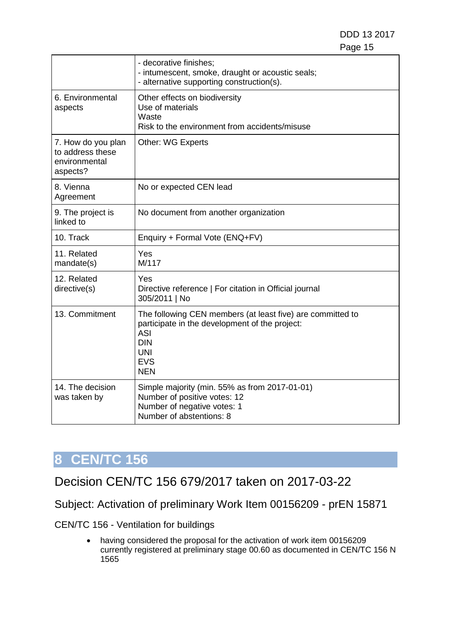DDD 13 2017 e de la construction de la construction de la construction de la construction de la construction de la constru

|                                                                     | - decorative finishes;<br>- intumescent, smoke, draught or acoustic seals;<br>- alternative supporting construction(s).                                                            |
|---------------------------------------------------------------------|------------------------------------------------------------------------------------------------------------------------------------------------------------------------------------|
| 6. Environmental<br>aspects                                         | Other effects on biodiversity<br>Use of materials<br>Waste<br>Risk to the environment from accidents/misuse                                                                        |
| 7. How do you plan<br>to address these<br>environmental<br>aspects? | <b>Other: WG Experts</b>                                                                                                                                                           |
| 8. Vienna<br>Agreement                                              | No or expected CEN lead                                                                                                                                                            |
| 9. The project is<br>linked to                                      | No document from another organization                                                                                                                                              |
| 10. Track                                                           | Enquiry + Formal Vote (ENQ+FV)                                                                                                                                                     |
| 11. Related<br>mandate(s)                                           | Yes<br>M/117                                                                                                                                                                       |
| 12. Related<br>directive(s)                                         | Yes<br>Directive reference   For citation in Official journal<br>305/2011   No                                                                                                     |
| 13. Commitment                                                      | The following CEN members (at least five) are committed to<br>participate in the development of the project:<br><b>ASI</b><br><b>DIN</b><br><b>UNI</b><br><b>EVS</b><br><b>NEN</b> |
| 14. The decision<br>was taken by                                    | Simple majority (min. 55% as from 2017-01-01)<br>Number of positive votes: 12<br>Number of negative votes: 1<br>Number of abstentions: 8                                           |

# **8 CEN/TC 156**

<span id="page-14-0"></span>Decision CEN/TC 156 679/2017 taken on 2017-03-22

Subject: Activation of preliminary Work Item 00156209 - prEN 15871

CEN/TC 156 - Ventilation for buildings

• having considered the proposal for the activation of work item 00156209 currently registered at preliminary stage 00.60 as documented in CEN/TC 156 N 1565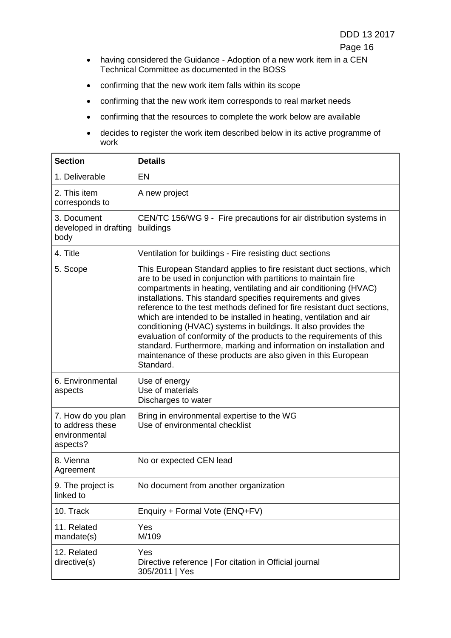- having considered the Guidance Adoption of a new work item in a CEN Technical Committee as documented in the BOSS
- confirming that the new work item falls within its scope
- confirming that the new work item corresponds to real market needs
- confirming that the resources to complete the work below are available
- decides to register the work item described below in its active programme of work

| <b>Section</b>                                                      | <b>Details</b>                                                                                                                                                                                                                                                                                                                                                                                                                                                                                                                                                                                                                                                                                                              |
|---------------------------------------------------------------------|-----------------------------------------------------------------------------------------------------------------------------------------------------------------------------------------------------------------------------------------------------------------------------------------------------------------------------------------------------------------------------------------------------------------------------------------------------------------------------------------------------------------------------------------------------------------------------------------------------------------------------------------------------------------------------------------------------------------------------|
| 1. Deliverable                                                      | <b>EN</b>                                                                                                                                                                                                                                                                                                                                                                                                                                                                                                                                                                                                                                                                                                                   |
| 2. This item<br>corresponds to                                      | A new project                                                                                                                                                                                                                                                                                                                                                                                                                                                                                                                                                                                                                                                                                                               |
| 3. Document<br>developed in drafting<br>body                        | CEN/TC 156/WG 9 - Fire precautions for air distribution systems in<br>buildings                                                                                                                                                                                                                                                                                                                                                                                                                                                                                                                                                                                                                                             |
| 4. Title                                                            | Ventilation for buildings - Fire resisting duct sections                                                                                                                                                                                                                                                                                                                                                                                                                                                                                                                                                                                                                                                                    |
| 5. Scope                                                            | This European Standard applies to fire resistant duct sections, which<br>are to be used in conjunction with partitions to maintain fire<br>compartments in heating, ventilating and air conditioning (HVAC)<br>installations. This standard specifies requirements and gives<br>reference to the test methods defined for fire resistant duct sections,<br>which are intended to be installed in heating, ventilation and air<br>conditioning (HVAC) systems in buildings. It also provides the<br>evaluation of conformity of the products to the requirements of this<br>standard. Furthermore, marking and information on installation and<br>maintenance of these products are also given in this European<br>Standard. |
| 6. Environmental<br>aspects                                         | Use of energy<br>Use of materials<br>Discharges to water                                                                                                                                                                                                                                                                                                                                                                                                                                                                                                                                                                                                                                                                    |
| 7. How do you plan<br>to address these<br>environmental<br>aspects? | Bring in environmental expertise to the WG<br>Use of environmental checklist                                                                                                                                                                                                                                                                                                                                                                                                                                                                                                                                                                                                                                                |
| 8. Vienna<br>Agreement                                              | No or expected CEN lead                                                                                                                                                                                                                                                                                                                                                                                                                                                                                                                                                                                                                                                                                                     |
| 9. The project is<br>linked to                                      | No document from another organization                                                                                                                                                                                                                                                                                                                                                                                                                                                                                                                                                                                                                                                                                       |
| 10. Track                                                           | Enquiry + Formal Vote (ENQ+FV)                                                                                                                                                                                                                                                                                                                                                                                                                                                                                                                                                                                                                                                                                              |
| 11. Related<br>mandate(s)                                           | Yes<br>M/109                                                                                                                                                                                                                                                                                                                                                                                                                                                                                                                                                                                                                                                                                                                |
| 12. Related<br>directive(s)                                         | Yes<br>Directive reference   For citation in Official journal<br>305/2011   Yes                                                                                                                                                                                                                                                                                                                                                                                                                                                                                                                                                                                                                                             |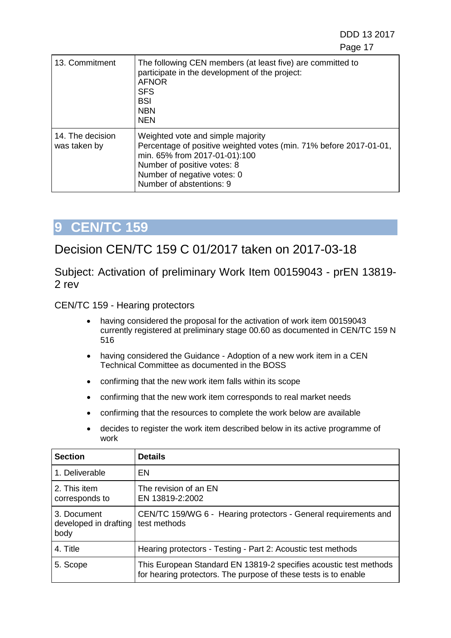DDD 13 2017 en de la construction de la construction de la construction de la construction de la construction de la constr

| 13. Commitment                   | The following CEN members (at least five) are committed to<br>participate in the development of the project:<br><b>AFNOR</b><br><b>SFS</b><br><b>BSI</b><br><b>NBN</b><br><b>NEN</b>                                               |
|----------------------------------|------------------------------------------------------------------------------------------------------------------------------------------------------------------------------------------------------------------------------------|
| 14. The decision<br>was taken by | Weighted vote and simple majority<br>Percentage of positive weighted votes (min. 71% before 2017-01-01,<br>min. 65% from 2017-01-01):100<br>Number of positive votes: 8<br>Number of negative votes: 0<br>Number of abstentions: 9 |

## **9 CEN/TC 159**

### <span id="page-16-0"></span>Decision CEN/TC 159 C 01/2017 taken on 2017-03-18

Subject: Activation of preliminary Work Item 00159043 - prEN 13819- 2 rev

CEN/TC 159 - Hearing protectors

- having considered the proposal for the activation of work item 00159043 currently registered at preliminary stage 00.60 as documented in CEN/TC 159 N 516
- having considered the Guidance Adoption of a new work item in a CEN Technical Committee as documented in the BOSS
- confirming that the new work item falls within its scope
- confirming that the new work item corresponds to real market needs
- confirming that the resources to complete the work below are available
- decides to register the work item described below in its active programme of work

| <b>Section</b>                               | <b>Details</b>                                                                                                                       |
|----------------------------------------------|--------------------------------------------------------------------------------------------------------------------------------------|
| 1. Deliverable                               | EN                                                                                                                                   |
| 2. This item<br>corresponds to               | The revision of an EN<br>EN 13819-2:2002                                                                                             |
| 3. Document<br>developed in drafting<br>body | CEN/TC 159/WG 6 - Hearing protectors - General requirements and<br>test methods                                                      |
| 4. Title                                     | Hearing protectors - Testing - Part 2: Acoustic test methods                                                                         |
| 5. Scope                                     | This European Standard EN 13819-2 specifies acoustic test methods<br>for hearing protectors. The purpose of these tests is to enable |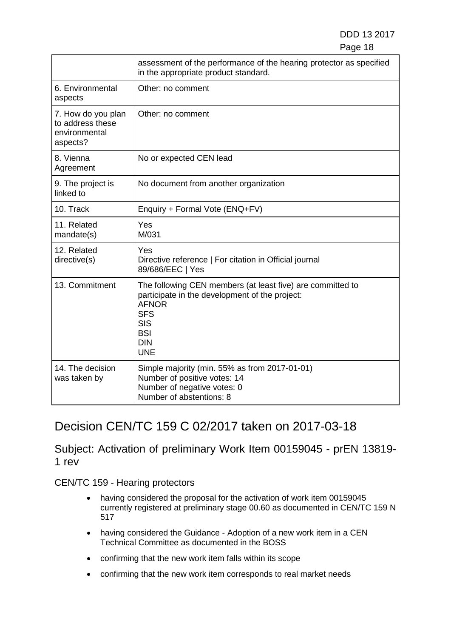|                                                                     | assessment of the performance of the hearing protector as specified<br>in the appropriate product standard.                                                                                        |
|---------------------------------------------------------------------|----------------------------------------------------------------------------------------------------------------------------------------------------------------------------------------------------|
| 6. Environmental<br>aspects                                         | Other: no comment                                                                                                                                                                                  |
| 7. How do you plan<br>to address these<br>environmental<br>aspects? | Other: no comment                                                                                                                                                                                  |
| 8. Vienna<br>Agreement                                              | No or expected CEN lead                                                                                                                                                                            |
| 9. The project is<br>linked to                                      | No document from another organization                                                                                                                                                              |
| 10. Track                                                           | Enquiry + Formal Vote (ENQ+FV)                                                                                                                                                                     |
| 11. Related<br>mandate(s)                                           | Yes<br>M/031                                                                                                                                                                                       |
| 12. Related<br>directive(s)                                         | Yes<br>Directive reference   For citation in Official journal<br>89/686/EEC   Yes                                                                                                                  |
| 13. Commitment                                                      | The following CEN members (at least five) are committed to<br>participate in the development of the project:<br><b>AFNOR</b><br><b>SFS</b><br><b>SIS</b><br><b>BSI</b><br><b>DIN</b><br><b>UNE</b> |
| 14. The decision<br>was taken by                                    | Simple majority (min. 55% as from 2017-01-01)<br>Number of positive votes: 14<br>Number of negative votes: 0<br>Number of abstentions: 8                                                           |

## <span id="page-17-0"></span>Decision CEN/TC 159 C 02/2017 taken on 2017-03-18

Subject: Activation of preliminary Work Item 00159045 - prEN 13819- 1 rev

CEN/TC 159 - Hearing protectors

- having considered the proposal for the activation of work item 00159045 currently registered at preliminary stage 00.60 as documented in CEN/TC 159 N 517
- having considered the Guidance Adoption of a new work item in a CEN Technical Committee as documented in the BOSS
- confirming that the new work item falls within its scope
- confirming that the new work item corresponds to real market needs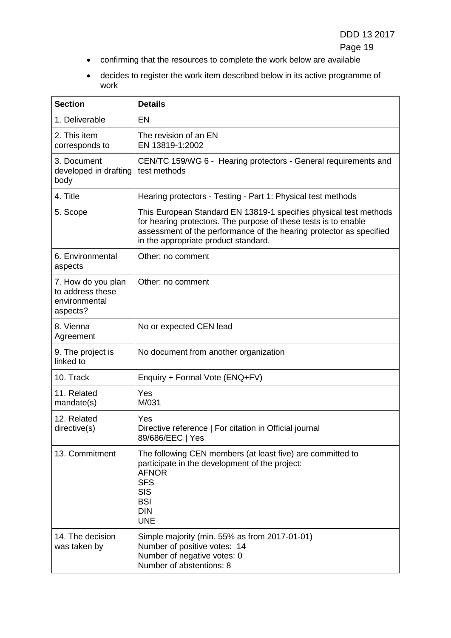- confirming that the resources to complete the work below are available
- decides to register the work item described below in its active programme of work

| <b>Section</b>                                                      | <b>Details</b>                                                                                                                                                                                                                                      |
|---------------------------------------------------------------------|-----------------------------------------------------------------------------------------------------------------------------------------------------------------------------------------------------------------------------------------------------|
| 1. Deliverable                                                      | <b>EN</b>                                                                                                                                                                                                                                           |
| 2. This item<br>corresponds to                                      | The revision of an EN<br>EN 13819-1:2002                                                                                                                                                                                                            |
| 3. Document<br>developed in drafting<br>body                        | CEN/TC 159/WG 6 - Hearing protectors - General requirements and<br>test methods                                                                                                                                                                     |
| 4. Title                                                            | Hearing protectors - Testing - Part 1: Physical test methods                                                                                                                                                                                        |
| 5. Scope                                                            | This European Standard EN 13819-1 specifies physical test methods<br>for hearing protectors. The purpose of these tests is to enable<br>assessment of the performance of the hearing protector as specified<br>in the appropriate product standard. |
| 6. Environmental<br>aspects                                         | Other: no comment                                                                                                                                                                                                                                   |
| 7. How do you plan<br>to address these<br>environmental<br>aspects? | Other: no comment                                                                                                                                                                                                                                   |
| 8. Vienna<br>Agreement                                              | No or expected CEN lead                                                                                                                                                                                                                             |
| 9. The project is<br>linked to                                      | No document from another organization                                                                                                                                                                                                               |
| 10. Track                                                           | Enquiry + Formal Vote (ENQ+FV)                                                                                                                                                                                                                      |
| 11. Related<br>mandate(s)                                           | Yes<br>M/031                                                                                                                                                                                                                                        |
| 12. Related<br>directive(s)                                         | Yes<br>Directive reference   For citation in Official journal<br>89/686/EEC   Yes                                                                                                                                                                   |
| 13. Commitment                                                      | The following CEN members (at least five) are committed to<br>participate in the development of the project:<br><b>AFNOR</b><br><b>SFS</b><br><b>SIS</b><br><b>BSI</b><br><b>DIN</b><br><b>UNE</b>                                                  |
| 14. The decision<br>was taken by                                    | Simple majority (min. 55% as from 2017-01-01)<br>Number of positive votes: 14<br>Number of negative votes: 0<br>Number of abstentions: 8                                                                                                            |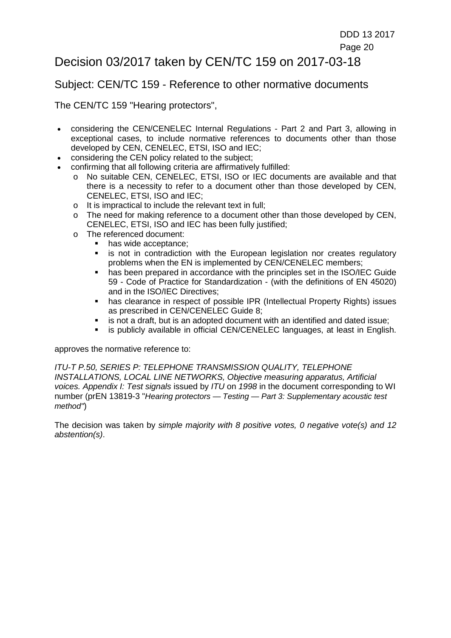### <span id="page-19-0"></span>Decision 03/2017 taken by CEN/TC 159 on 2017-03-18

#### Subject: CEN/TC 159 - Reference to other normative documents

The CEN/TC 159 "Hearing protectors",

- considering the CEN/CENELEC Internal Regulations Part 2 and Part 3, allowing in exceptional cases, to include normative references to documents other than those developed by CEN, CENELEC, ETSI, ISO and IEC;
- considering the CEN policy related to the subject;
- confirming that all following criteria are affirmatively fulfilled:
	- o No suitable CEN, CENELEC, ETSI, ISO or IEC documents are available and that there is a necessity to refer to a document other than those developed by CEN, CENELEC, ETSI, ISO and IEC;
	- o It is impractical to include the relevant text in full;
	- $\circ$  The need for making reference to a document other than those developed by CEN, CENELEC, ETSI, ISO and IEC has been fully justified;
	- o The referenced document:
		- has wide acceptance;
		- is not in contradiction with the European legislation nor creates regulatory problems when the EN is implemented by CEN/CENELEC members;
		- has been prepared in accordance with the principles set in the ISO/IEC Guide 59 - Code of Practice for Standardization - (with the definitions of EN 45020) and in the ISO/IEC Directives;
		- has clearance in respect of possible IPR (Intellectual Property Rights) issues as prescribed in CEN/CENELEC Guide 8;
		- is not a draft, but is an adopted document with an identified and dated issue;
		- is publicly available in official CEN/CENELEC languages, at least in English.

approves the normative reference to:

*ITU-T P.50, SERIES P: TELEPHONE TRANSMISSION QUALITY, TELEPHONE INSTALLATIONS, LOCAL LINE NETWORKS, Objective measuring apparatus, Artificial voices. Appendix I: Test signals* issued by *ITU* on *1998* in the document corresponding to WI number (prEN 13819-3 "*Hearing protectors — Testing — Part 3: Supplementary acoustic test method"*)

The decision was taken by *simple majority with 8 positive votes, 0 negative vote(s) and 12 abstention(s)*.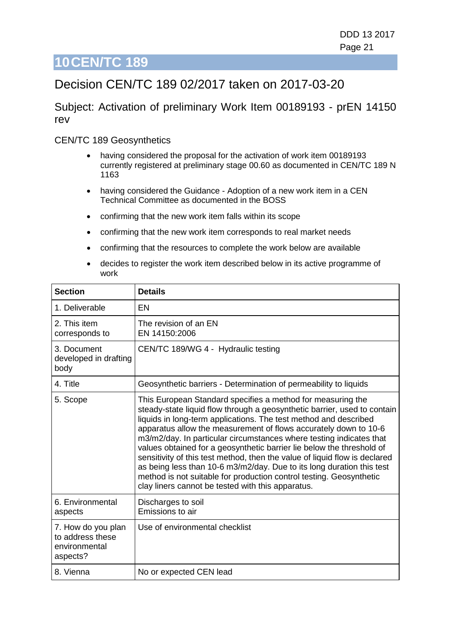## <span id="page-20-0"></span>Decision CEN/TC 189 02/2017 taken on 2017-03-20

Subject: Activation of preliminary Work Item 00189193 - prEN 14150 rev

#### CEN/TC 189 Geosynthetics

- having considered the proposal for the activation of work item 00189193 currently registered at preliminary stage 00.60 as documented in CEN/TC 189 N 1163
- having considered the Guidance Adoption of a new work item in a CEN Technical Committee as documented in the BOSS
- confirming that the new work item falls within its scope
- confirming that the new work item corresponds to real market needs
- confirming that the resources to complete the work below are available
- decides to register the work item described below in its active programme of work

| <b>Section</b>                                                      | <b>Details</b>                                                                                                                                                                                                                                                                                                                                                                                                                                                                                                                                                                                                                                                                                                     |
|---------------------------------------------------------------------|--------------------------------------------------------------------------------------------------------------------------------------------------------------------------------------------------------------------------------------------------------------------------------------------------------------------------------------------------------------------------------------------------------------------------------------------------------------------------------------------------------------------------------------------------------------------------------------------------------------------------------------------------------------------------------------------------------------------|
| 1. Deliverable                                                      | EN                                                                                                                                                                                                                                                                                                                                                                                                                                                                                                                                                                                                                                                                                                                 |
| 2. This item<br>corresponds to                                      | The revision of an EN<br>EN 14150:2006                                                                                                                                                                                                                                                                                                                                                                                                                                                                                                                                                                                                                                                                             |
| 3. Document<br>developed in drafting<br>body                        | CEN/TC 189/WG 4 - Hydraulic testing                                                                                                                                                                                                                                                                                                                                                                                                                                                                                                                                                                                                                                                                                |
| 4. Title                                                            | Geosynthetic barriers - Determination of permeability to liquids                                                                                                                                                                                                                                                                                                                                                                                                                                                                                                                                                                                                                                                   |
| 5. Scope                                                            | This European Standard specifies a method for measuring the<br>steady-state liquid flow through a geosynthetic barrier, used to contain<br>liquids in long-term applications. The test method and described<br>apparatus allow the measurement of flows accurately down to 10-6<br>m3/m2/day. In particular circumstances where testing indicates that<br>values obtained for a geosynthetic barrier lie below the threshold of<br>sensitivity of this test method, then the value of liquid flow is declared<br>as being less than 10-6 m3/m2/day. Due to its long duration this test<br>method is not suitable for production control testing. Geosynthetic<br>clay liners cannot be tested with this apparatus. |
| 6. Environmental<br>aspects                                         | Discharges to soil<br>Emissions to air                                                                                                                                                                                                                                                                                                                                                                                                                                                                                                                                                                                                                                                                             |
| 7. How do you plan<br>to address these<br>environmental<br>aspects? | Use of environmental checklist                                                                                                                                                                                                                                                                                                                                                                                                                                                                                                                                                                                                                                                                                     |
| 8. Vienna                                                           | No or expected CEN lead                                                                                                                                                                                                                                                                                                                                                                                                                                                                                                                                                                                                                                                                                            |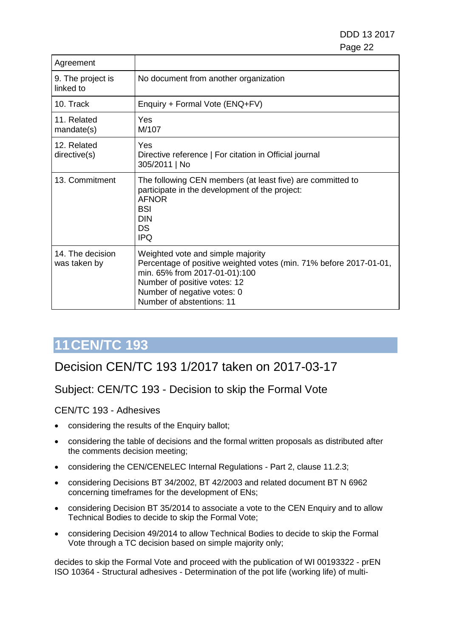DDD 13 2017 e de la construcción de la construcción de la construcción de la construcción de la construcción de la constru

| Agreement                        |                                                                                                                                                                                                                                      |
|----------------------------------|--------------------------------------------------------------------------------------------------------------------------------------------------------------------------------------------------------------------------------------|
| 9. The project is<br>linked to   | No document from another organization                                                                                                                                                                                                |
| 10. Track                        | Enquiry + Formal Vote (ENQ+FV)                                                                                                                                                                                                       |
| 11. Related<br>mandate(s)        | Yes<br>M/107                                                                                                                                                                                                                         |
| 12. Related<br>directive(s)      | Yes<br>Directive reference   For citation in Official journal<br>305/2011   No                                                                                                                                                       |
| 13. Commitment                   | The following CEN members (at least five) are committed to<br>participate in the development of the project:<br><b>AFNOR</b><br><b>BSI</b><br><b>DIN</b><br>DS<br><b>IPQ</b>                                                         |
| 14. The decision<br>was taken by | Weighted vote and simple majority<br>Percentage of positive weighted votes (min. 71% before 2017-01-01,<br>min. 65% from 2017-01-01):100<br>Number of positive votes: 12<br>Number of negative votes: 0<br>Number of abstentions: 11 |

# **11CEN/TC 193**

## <span id="page-21-0"></span>Decision CEN/TC 193 1/2017 taken on 2017-03-17

### Subject: CEN/TC 193 - Decision to skip the Formal Vote

CEN/TC 193 - Adhesives

- considering the results of the Enquiry ballot;
- considering the table of decisions and the formal written proposals as distributed after the comments decision meeting;
- considering the CEN/CENELEC Internal Regulations Part 2, clause 11.2.3;
- considering Decisions BT 34/2002, BT 42/2003 and related document BT N 6962 concerning timeframes for the development of ENs;
- considering Decision BT 35/2014 to associate a vote to the CEN Enquiry and to allow Technical Bodies to decide to skip the Formal Vote;
- considering Decision 49/2014 to allow Technical Bodies to decide to skip the Formal Vote through a TC decision based on simple majority only;

decides to skip the Formal Vote and proceed with the publication of WI 00193322 - prEN ISO 10364 - Structural adhesives - Determination of the pot life (working life) of multi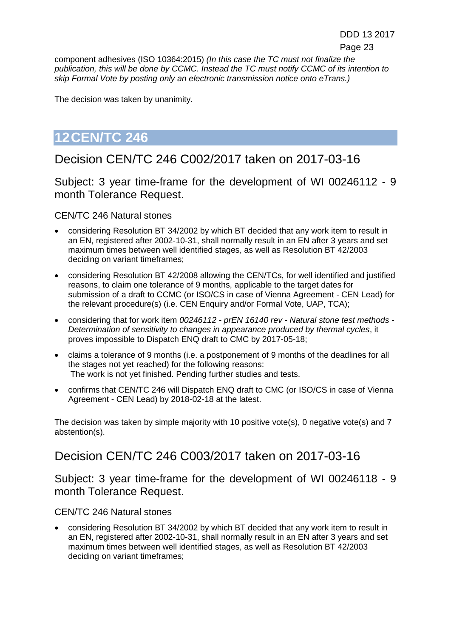component adhesives (ISO 10364:2015) *(In this case the TC must not finalize the publication, this will be done by CCMC. Instead the TC must notify CCMC of its intention to skip Formal Vote by posting only an electronic transmission notice onto eTrans.)*

The decision was taken by unanimity.

# **12CEN/TC 246**

## <span id="page-22-0"></span>Decision CEN/TC 246 C002/2017 taken on 2017-03-16

Subject: 3 year time-frame for the development of WI 00246112 - 9 month Tolerance Request.

CEN/TC 246 Natural stones

- considering Resolution BT 34/2002 by which BT decided that any work item to result in an EN, registered after 2002-10-31, shall normally result in an EN after 3 years and set maximum times between well identified stages, as well as Resolution BT 42/2003 deciding on variant timeframes;
- considering Resolution BT 42/2008 allowing the CEN/TCs, for well identified and justified reasons, to claim one tolerance of 9 months, applicable to the target dates for submission of a draft to CCMC (or ISO/CS in case of Vienna Agreement - CEN Lead) for the relevant procedure(s) (i.e. CEN Enquiry and/or Formal Vote, UAP, TCA);
- considering that for work item *00246112 - prEN 16140 rev - Natural stone test methods - Determination of sensitivity to changes in appearance produced by thermal cycles*, it proves impossible to Dispatch ENQ draft to CMC by 2017-05-18;
- claims a tolerance of 9 months (i.e. a postponement of 9 months of the deadlines for all the stages not yet reached) for the following reasons: The work is not yet finished. Pending further studies and tests.
- confirms that CEN/TC 246 will Dispatch ENQ draft to CMC (or ISO/CS in case of Vienna Agreement - CEN Lead) by 2018-02-18 at the latest.

The decision was taken by simple majority with 10 positive vote(s), 0 negative vote(s) and 7 abstention(s).

# <span id="page-22-1"></span>Decision CEN/TC 246 C003/2017 taken on 2017-03-16

Subject: 3 year time-frame for the development of WI 00246118 - 9 month Tolerance Request.

#### CEN/TC 246 Natural stones

• considering Resolution BT 34/2002 by which BT decided that any work item to result in an EN, registered after 2002-10-31, shall normally result in an EN after 3 years and set maximum times between well identified stages, as well as Resolution BT 42/2003 deciding on variant timeframes;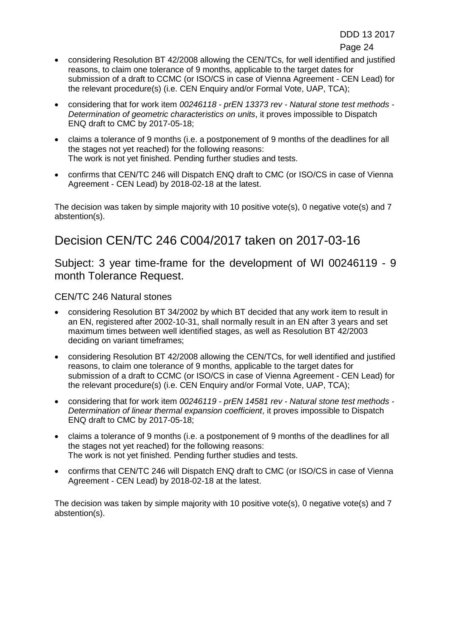e de la construction de la construction de la construction de la construction de la construction de la constru

- considering Resolution BT 42/2008 allowing the CEN/TCs, for well identified and justified reasons, to claim one tolerance of 9 months, applicable to the target dates for submission of a draft to CCMC (or ISO/CS in case of Vienna Agreement - CEN Lead) for the relevant procedure(s) (i.e. CEN Enquiry and/or Formal Vote, UAP, TCA);
- considering that for work item *00246118 - prEN 13373 rev - Natural stone test methods - Determination of geometric characteristics on units*, it proves impossible to Dispatch ENQ draft to CMC by 2017-05-18;
- claims a tolerance of 9 months (i.e. a postponement of 9 months of the deadlines for all the stages not yet reached) for the following reasons: The work is not yet finished. Pending further studies and tests.
- confirms that CEN/TC 246 will Dispatch ENQ draft to CMC (or ISO/CS in case of Vienna Agreement - CEN Lead) by 2018-02-18 at the latest.

The decision was taken by simple majority with 10 positive vote(s), 0 negative vote(s) and 7 abstention(s).

# <span id="page-23-0"></span>Decision CEN/TC 246 C004/2017 taken on 2017-03-16

Subject: 3 year time-frame for the development of WI 00246119 - 9 month Tolerance Request.

### CEN/TC 246 Natural stones

- considering Resolution BT 34/2002 by which BT decided that any work item to result in an EN, registered after 2002-10-31, shall normally result in an EN after 3 years and set maximum times between well identified stages, as well as Resolution BT 42/2003 deciding on variant timeframes;
- considering Resolution BT 42/2008 allowing the CEN/TCs, for well identified and justified reasons, to claim one tolerance of 9 months, applicable to the target dates for submission of a draft to CCMC (or ISO/CS in case of Vienna Agreement - CEN Lead) for the relevant procedure(s) (i.e. CEN Enquiry and/or Formal Vote, UAP, TCA);
- considering that for work item *00246119 - prEN 14581 rev - Natural stone test methods - Determination of linear thermal expansion coefficient*, it proves impossible to Dispatch ENQ draft to CMC by 2017-05-18;
- claims a tolerance of 9 months (i.e. a postponement of 9 months of the deadlines for all the stages not yet reached) for the following reasons: The work is not yet finished. Pending further studies and tests.
- confirms that CEN/TC 246 will Dispatch ENQ draft to CMC (or ISO/CS in case of Vienna Agreement - CEN Lead) by 2018-02-18 at the latest.

The decision was taken by simple majority with 10 positive vote(s), 0 negative vote(s) and 7 abstention(s).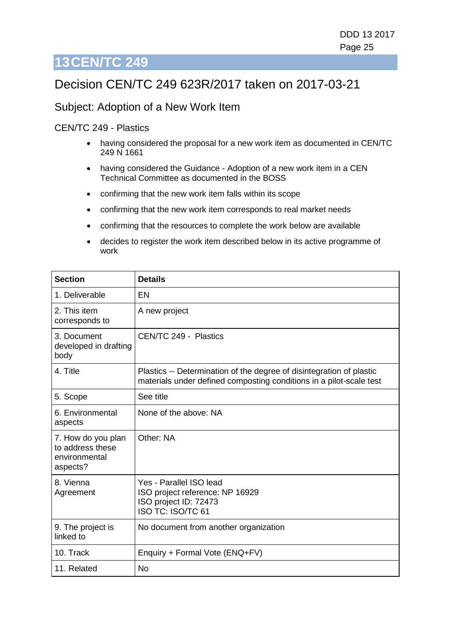## <span id="page-24-0"></span>Decision CEN/TC 249 623R/2017 taken on 2017-03-21

#### Subject: Adoption of a New Work Item

#### CEN/TC 249 - Plastics

- having considered the proposal for a new work item as documented in CEN/TC 249 N 1661
- having considered the Guidance Adoption of a new work item in a CEN Technical Committee as documented in the BOSS
- confirming that the new work item falls within its scope
- confirming that the new work item corresponds to real market needs
- confirming that the resources to complete the work below are available
- decides to register the work item described below in its active programme of work

| <b>Section</b>                                                      | <b>Details</b>                                                                                                                              |
|---------------------------------------------------------------------|---------------------------------------------------------------------------------------------------------------------------------------------|
| 1. Deliverable                                                      | EN                                                                                                                                          |
| 2. This item<br>corresponds to                                      | A new project                                                                                                                               |
| 3. Document<br>developed in drafting<br>body                        | CEN/TC 249 - Plastics                                                                                                                       |
| 4. Title                                                            | Plastics -- Determination of the degree of disintegration of plastic<br>materials under defined composting conditions in a pilot-scale test |
| 5. Scope                                                            | See title                                                                                                                                   |
| 6. Environmental<br>aspects                                         | None of the above: NA                                                                                                                       |
| 7. How do you plan<br>to address these<br>environmental<br>aspects? | Other: NA                                                                                                                                   |
| 8. Vienna<br>Agreement                                              | Yes - Parallel ISO lead<br>ISO project reference: NP 16929<br>ISO project ID: 72473<br>ISO TC: ISO/TC 61                                    |
| 9. The project is<br>linked to                                      | No document from another organization                                                                                                       |
| 10. Track                                                           | Enquiry + Formal Vote (ENQ+FV)                                                                                                              |
| 11. Related                                                         | <b>No</b>                                                                                                                                   |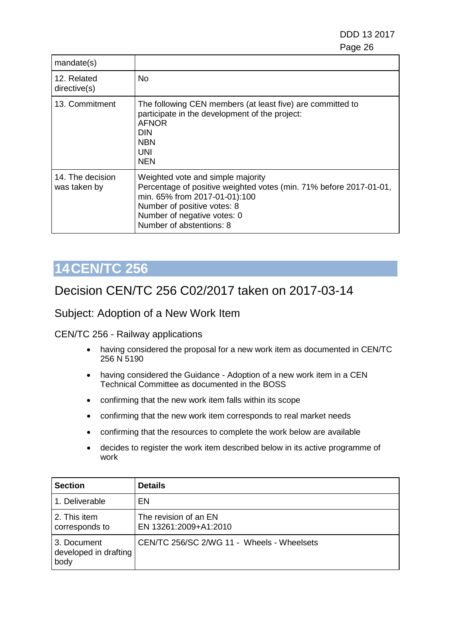DDD 13 2017 e de la construcción de la construcción de la construcción de la construcción de la construcción de la constru

| mandate(s)                       |                                                                                                                                                                                                                                    |
|----------------------------------|------------------------------------------------------------------------------------------------------------------------------------------------------------------------------------------------------------------------------------|
| 12. Related<br>directive(s)      | No                                                                                                                                                                                                                                 |
| 13. Commitment                   | The following CEN members (at least five) are committed to<br>participate in the development of the project:<br><b>AFNOR</b><br>DIN<br><b>NBN</b><br>UNI<br>NEN                                                                    |
| 14. The decision<br>was taken by | Weighted vote and simple majority<br>Percentage of positive weighted votes (min. 71% before 2017-01-01,<br>min. 65% from 2017-01-01):100<br>Number of positive votes: 8<br>Number of negative votes: 0<br>Number of abstentions: 8 |

# **14CEN/TC 256**

## <span id="page-25-0"></span>Decision CEN/TC 256 C02/2017 taken on 2017-03-14

#### Subject: Adoption of a New Work Item

#### CEN/TC 256 - Railway applications

- having considered the proposal for a new work item as documented in CEN/TC 256 N 5190
- having considered the Guidance Adoption of a new work item in a CEN Technical Committee as documented in the BOSS
- confirming that the new work item falls within its scope
- confirming that the new work item corresponds to real market needs
- confirming that the resources to complete the work below are available
- decides to register the work item described below in its active programme of work

| <b>Section</b>                               | <b>Details</b>                                 |
|----------------------------------------------|------------------------------------------------|
| 1. Deliverable                               | EN                                             |
| 2. This item<br>corresponds to               | The revision of an EN<br>EN 13261:2009+A1:2010 |
| 3. Document<br>developed in drafting<br>body | CEN/TC 256/SC 2/WG 11 - Wheels - Wheelsets     |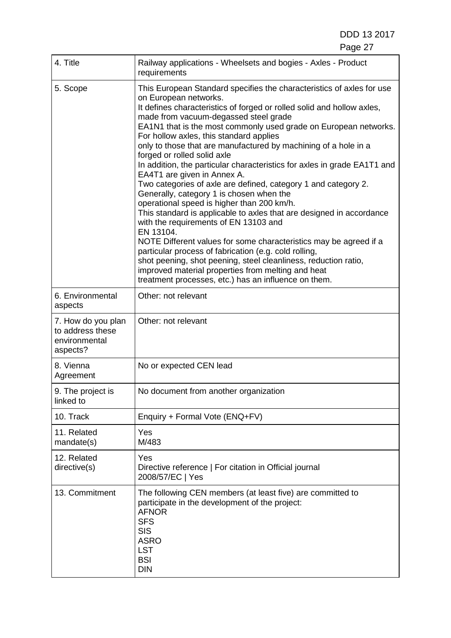DDD 13 2017

| 4. Title                                                            | Railway applications - Wheelsets and bogies - Axles - Product<br>requirements                                                                                                                                                                                                                                                                                                                                                                                                                                                                                                                                                                                                                                                                                                                                                                                                                                                                                                                                                                                                                                                                          |
|---------------------------------------------------------------------|--------------------------------------------------------------------------------------------------------------------------------------------------------------------------------------------------------------------------------------------------------------------------------------------------------------------------------------------------------------------------------------------------------------------------------------------------------------------------------------------------------------------------------------------------------------------------------------------------------------------------------------------------------------------------------------------------------------------------------------------------------------------------------------------------------------------------------------------------------------------------------------------------------------------------------------------------------------------------------------------------------------------------------------------------------------------------------------------------------------------------------------------------------|
| 5. Scope                                                            | This European Standard specifies the characteristics of axles for use<br>on European networks.<br>It defines characteristics of forged or rolled solid and hollow axles,<br>made from vacuum-degassed steel grade<br>EA1N1 that is the most commonly used grade on European networks.<br>For hollow axles, this standard applies<br>only to those that are manufactured by machining of a hole in a<br>forged or rolled solid axle<br>In addition, the particular characteristics for axles in grade EA1T1 and<br>EA4T1 are given in Annex A.<br>Two categories of axle are defined, category 1 and category 2.<br>Generally, category 1 is chosen when the<br>operational speed is higher than 200 km/h.<br>This standard is applicable to axles that are designed in accordance<br>with the requirements of EN 13103 and<br>EN 13104.<br>NOTE Different values for some characteristics may be agreed if a<br>particular process of fabrication (e.g. cold rolling,<br>shot peening, shot peening, steel cleanliness, reduction ratio,<br>improved material properties from melting and heat<br>treatment processes, etc.) has an influence on them. |
| 6. Environmental<br>aspects                                         | Other: not relevant                                                                                                                                                                                                                                                                                                                                                                                                                                                                                                                                                                                                                                                                                                                                                                                                                                                                                                                                                                                                                                                                                                                                    |
| 7. How do you plan<br>to address these<br>environmental<br>aspects? | Other: not relevant                                                                                                                                                                                                                                                                                                                                                                                                                                                                                                                                                                                                                                                                                                                                                                                                                                                                                                                                                                                                                                                                                                                                    |
| 8. Vienna<br>Agreement                                              | No or expected CEN lead                                                                                                                                                                                                                                                                                                                                                                                                                                                                                                                                                                                                                                                                                                                                                                                                                                                                                                                                                                                                                                                                                                                                |
| 9. The project is<br>linked to                                      | No document from another organization                                                                                                                                                                                                                                                                                                                                                                                                                                                                                                                                                                                                                                                                                                                                                                                                                                                                                                                                                                                                                                                                                                                  |
| 10. Track                                                           | Enquiry + Formal Vote (ENQ+FV)                                                                                                                                                                                                                                                                                                                                                                                                                                                                                                                                                                                                                                                                                                                                                                                                                                                                                                                                                                                                                                                                                                                         |
| 11. Related<br>mandate(s)                                           | Yes<br>M/483                                                                                                                                                                                                                                                                                                                                                                                                                                                                                                                                                                                                                                                                                                                                                                                                                                                                                                                                                                                                                                                                                                                                           |
| 12. Related<br>directive(s)                                         | Yes<br>Directive reference   For citation in Official journal<br>2008/57/EC   Yes                                                                                                                                                                                                                                                                                                                                                                                                                                                                                                                                                                                                                                                                                                                                                                                                                                                                                                                                                                                                                                                                      |
| 13. Commitment                                                      | The following CEN members (at least five) are committed to<br>participate in the development of the project:<br><b>AFNOR</b><br><b>SFS</b><br><b>SIS</b><br><b>ASRO</b><br><b>LST</b><br><b>BSI</b><br><b>DIN</b>                                                                                                                                                                                                                                                                                                                                                                                                                                                                                                                                                                                                                                                                                                                                                                                                                                                                                                                                      |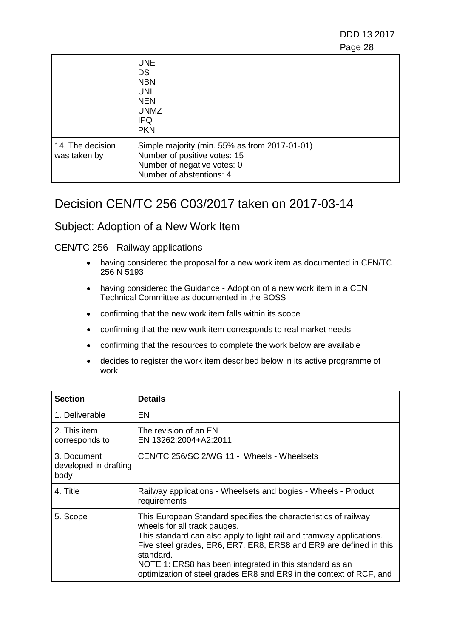DDD 13 2017 e de la construcción de la construcción de la construcción de la construcción de la construcción de la constru

|                                  | <b>UNE</b><br><b>DS</b><br><b>NBN</b><br><b>UNI</b><br><b>NEN</b><br><b>UNMZ</b><br><b>IPQ</b><br><b>PKN</b>                             |
|----------------------------------|------------------------------------------------------------------------------------------------------------------------------------------|
| 14. The decision<br>was taken by | Simple majority (min. 55% as from 2017-01-01)<br>Number of positive votes: 15<br>Number of negative votes: 0<br>Number of abstentions: 4 |

### <span id="page-27-0"></span>Decision CEN/TC 256 C03/2017 taken on 2017-03-14

#### Subject: Adoption of a New Work Item

#### CEN/TC 256 - Railway applications

- having considered the proposal for a new work item as documented in CEN/TC 256 N 5193
- having considered the Guidance Adoption of a new work item in a CEN Technical Committee as documented in the BOSS
- confirming that the new work item falls within its scope
- confirming that the new work item corresponds to real market needs
- confirming that the resources to complete the work below are available
- decides to register the work item described below in its active programme of work

| <b>Section</b>                               | <b>Details</b>                                                                                                                                                                                                                                                                                                                                                                               |
|----------------------------------------------|----------------------------------------------------------------------------------------------------------------------------------------------------------------------------------------------------------------------------------------------------------------------------------------------------------------------------------------------------------------------------------------------|
| 1. Deliverable                               | EN                                                                                                                                                                                                                                                                                                                                                                                           |
| 2. This item<br>corresponds to               | The revision of an EN<br>EN 13262:2004+A2:2011                                                                                                                                                                                                                                                                                                                                               |
| 3. Document<br>developed in drafting<br>body | CEN/TC 256/SC 2/WG 11 - Wheels - Wheelsets                                                                                                                                                                                                                                                                                                                                                   |
| 4. Title                                     | Railway applications - Wheelsets and bogies - Wheels - Product<br>requirements                                                                                                                                                                                                                                                                                                               |
| 5. Scope                                     | This European Standard specifies the characteristics of railway<br>wheels for all track gauges.<br>This standard can also apply to light rail and tramway applications.<br>Five steel grades, ER6, ER7, ER8, ERS8 and ER9 are defined in this<br>standard.<br>NOTE 1: ERS8 has been integrated in this standard as an<br>optimization of steel grades ER8 and ER9 in the context of RCF, and |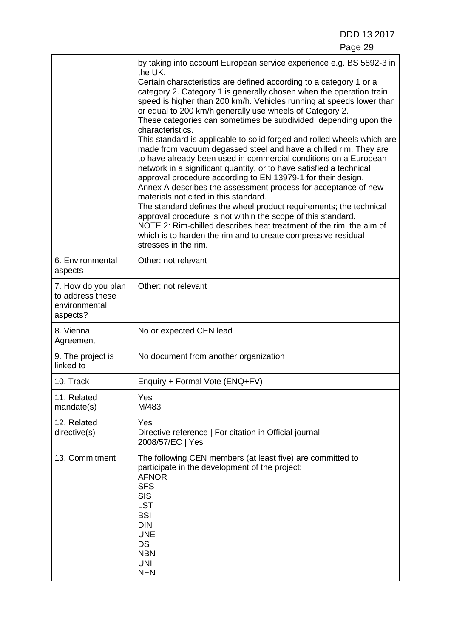|                                                                     | by taking into account European service experience e.g. BS 5892-3 in<br>the UK.<br>Certain characteristics are defined according to a category 1 or a<br>category 2. Category 1 is generally chosen when the operation train<br>speed is higher than 200 km/h. Vehicles running at speeds lower than<br>or equal to 200 km/h generally use wheels of Category 2.<br>These categories can sometimes be subdivided, depending upon the<br>characteristics.<br>This standard is applicable to solid forged and rolled wheels which are<br>made from vacuum degassed steel and have a chilled rim. They are<br>to have already been used in commercial conditions on a European<br>network in a significant quantity, or to have satisfied a technical<br>approval procedure according to EN 13979-1 for their design.<br>Annex A describes the assessment process for acceptance of new<br>materials not cited in this standard.<br>The standard defines the wheel product requirements; the technical<br>approval procedure is not within the scope of this standard.<br>NOTE 2: Rim-chilled describes heat treatment of the rim, the aim of<br>which is to harden the rim and to create compressive residual<br>stresses in the rim. |
|---------------------------------------------------------------------|-------------------------------------------------------------------------------------------------------------------------------------------------------------------------------------------------------------------------------------------------------------------------------------------------------------------------------------------------------------------------------------------------------------------------------------------------------------------------------------------------------------------------------------------------------------------------------------------------------------------------------------------------------------------------------------------------------------------------------------------------------------------------------------------------------------------------------------------------------------------------------------------------------------------------------------------------------------------------------------------------------------------------------------------------------------------------------------------------------------------------------------------------------------------------------------------------------------------------------------|
| 6. Environmental<br>aspects                                         | Other: not relevant                                                                                                                                                                                                                                                                                                                                                                                                                                                                                                                                                                                                                                                                                                                                                                                                                                                                                                                                                                                                                                                                                                                                                                                                                 |
| 7. How do you plan<br>to address these<br>environmental<br>aspects? | Other: not relevant                                                                                                                                                                                                                                                                                                                                                                                                                                                                                                                                                                                                                                                                                                                                                                                                                                                                                                                                                                                                                                                                                                                                                                                                                 |
| 8. Vienna<br>Agreement                                              | No or expected CEN lead                                                                                                                                                                                                                                                                                                                                                                                                                                                                                                                                                                                                                                                                                                                                                                                                                                                                                                                                                                                                                                                                                                                                                                                                             |
| 9. The project is<br>linked to                                      | No document from another organization                                                                                                                                                                                                                                                                                                                                                                                                                                                                                                                                                                                                                                                                                                                                                                                                                                                                                                                                                                                                                                                                                                                                                                                               |
| 10. Track                                                           | Enquiry + Formal Vote (ENQ+FV)                                                                                                                                                                                                                                                                                                                                                                                                                                                                                                                                                                                                                                                                                                                                                                                                                                                                                                                                                                                                                                                                                                                                                                                                      |
| 11. Related<br>mandate(s)                                           | Yes<br>M/483                                                                                                                                                                                                                                                                                                                                                                                                                                                                                                                                                                                                                                                                                                                                                                                                                                                                                                                                                                                                                                                                                                                                                                                                                        |
| 12. Related<br>directive(s)                                         | Yes<br>Directive reference   For citation in Official journal<br>2008/57/EC   Yes                                                                                                                                                                                                                                                                                                                                                                                                                                                                                                                                                                                                                                                                                                                                                                                                                                                                                                                                                                                                                                                                                                                                                   |
| 13. Commitment                                                      | The following CEN members (at least five) are committed to<br>participate in the development of the project:<br><b>AFNOR</b><br><b>SFS</b><br><b>SIS</b><br><b>LST</b><br><b>BSI</b><br><b>DIN</b><br><b>UNE</b><br><b>DS</b><br><b>NBN</b><br><b>UNI</b><br><b>NEN</b>                                                                                                                                                                                                                                                                                                                                                                                                                                                                                                                                                                                                                                                                                                                                                                                                                                                                                                                                                             |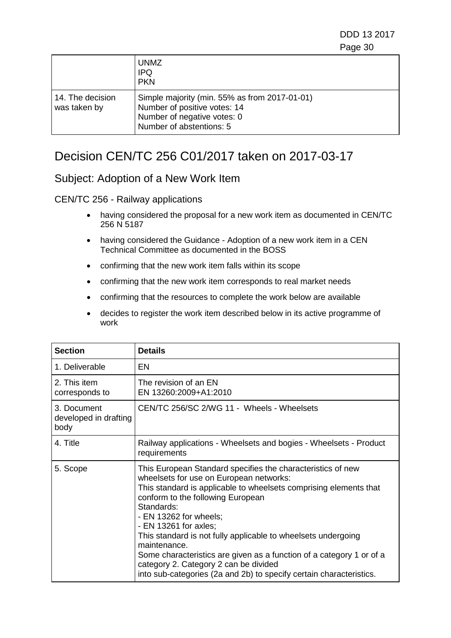DDD 13 2017 e de la construcción de la construcción de la construcción de la construcción de la construcción de la constru

|                                  | <b>UNMZ</b><br><b>IPQ</b><br><b>PKN</b>                                                                                                  |
|----------------------------------|------------------------------------------------------------------------------------------------------------------------------------------|
| 14. The decision<br>was taken by | Simple majority (min. 55% as from 2017-01-01)<br>Number of positive votes: 14<br>Number of negative votes: 0<br>Number of abstentions: 5 |

## <span id="page-29-0"></span>Decision CEN/TC 256 C01/2017 taken on 2017-03-17

### Subject: Adoption of a New Work Item

#### CEN/TC 256 - Railway applications

- having considered the proposal for a new work item as documented in CEN/TC 256 N 5187
- having considered the Guidance Adoption of a new work item in a CEN Technical Committee as documented in the BOSS
- confirming that the new work item falls within its scope
- confirming that the new work item corresponds to real market needs
- confirming that the resources to complete the work below are available
- decides to register the work item described below in its active programme of work

| <b>Section</b>                               | <b>Details</b>                                                                                                                                                                                                                                                                                                                                                                                                                                                                                                                                             |
|----------------------------------------------|------------------------------------------------------------------------------------------------------------------------------------------------------------------------------------------------------------------------------------------------------------------------------------------------------------------------------------------------------------------------------------------------------------------------------------------------------------------------------------------------------------------------------------------------------------|
| 1. Deliverable                               | EN                                                                                                                                                                                                                                                                                                                                                                                                                                                                                                                                                         |
| 2. This item<br>corresponds to               | The revision of an EN<br>EN 13260:2009+A1:2010                                                                                                                                                                                                                                                                                                                                                                                                                                                                                                             |
| 3. Document<br>developed in drafting<br>body | CEN/TC 256/SC 2/WG 11 - Wheels - Wheelsets                                                                                                                                                                                                                                                                                                                                                                                                                                                                                                                 |
| 4. Title                                     | Railway applications - Wheelsets and bogies - Wheelsets - Product<br>requirements                                                                                                                                                                                                                                                                                                                                                                                                                                                                          |
| 5. Scope                                     | This European Standard specifies the characteristics of new<br>wheelsets for use on European networks:<br>This standard is applicable to wheelsets comprising elements that<br>conform to the following European<br>Standards:<br>- EN 13262 for wheels;<br>- EN 13261 for axles;<br>This standard is not fully applicable to wheelsets undergoing<br>maintenance.<br>Some characteristics are given as a function of a category 1 or of a<br>category 2. Category 2 can be divided<br>into sub-categories (2a and 2b) to specify certain characteristics. |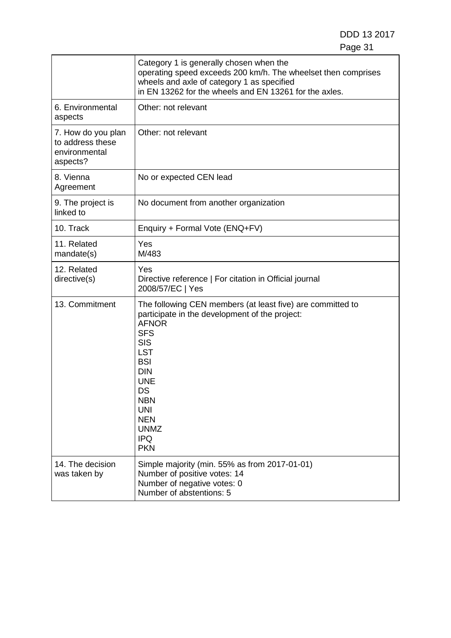DDD 13 2017 Page 31

|                                                                     | Category 1 is generally chosen when the<br>operating speed exceeds 200 km/h. The wheelset then comprises<br>wheels and axle of category 1 as specified<br>in EN 13262 for the wheels and EN 13261 for the axles.                                                                                            |
|---------------------------------------------------------------------|-------------------------------------------------------------------------------------------------------------------------------------------------------------------------------------------------------------------------------------------------------------------------------------------------------------|
| 6. Environmental<br>aspects                                         | Other: not relevant                                                                                                                                                                                                                                                                                         |
| 7. How do you plan<br>to address these<br>environmental<br>aspects? | Other: not relevant                                                                                                                                                                                                                                                                                         |
| 8. Vienna<br>Agreement                                              | No or expected CEN lead                                                                                                                                                                                                                                                                                     |
| 9. The project is<br>linked to                                      | No document from another organization                                                                                                                                                                                                                                                                       |
| 10. Track                                                           | Enquiry + Formal Vote (ENQ+FV)                                                                                                                                                                                                                                                                              |
| 11. Related<br>mandate(s)                                           | Yes<br>M/483                                                                                                                                                                                                                                                                                                |
| 12. Related<br>directive(s)                                         | Yes<br>Directive reference   For citation in Official journal<br>2008/57/EC   Yes                                                                                                                                                                                                                           |
| 13. Commitment                                                      | The following CEN members (at least five) are committed to<br>participate in the development of the project:<br><b>AFNOR</b><br><b>SFS</b><br><b>SIS</b><br><b>LST</b><br><b>BSI</b><br><b>DIN</b><br><b>UNE</b><br>DS<br><b>NBN</b><br><b>UNI</b><br><b>NEN</b><br><b>UNMZ</b><br><b>IPQ</b><br><b>PKN</b> |
| 14. The decision<br>was taken by                                    | Simple majority (min. 55% as from 2017-01-01)<br>Number of positive votes: 14<br>Number of negative votes: 0<br>Number of abstentions: 5                                                                                                                                                                    |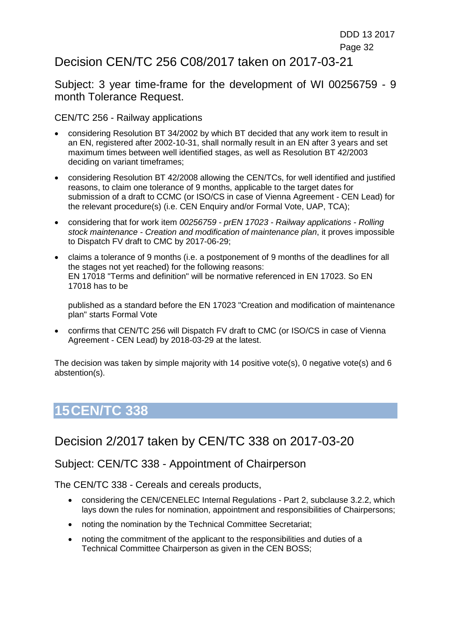### <span id="page-31-0"></span>Decision CEN/TC 256 C08/2017 taken on 2017-03-21

Subject: 3 year time-frame for the development of WI 00256759 - 9 month Tolerance Request.

CEN/TC 256 - Railway applications

- considering Resolution BT 34/2002 by which BT decided that any work item to result in an EN, registered after 2002-10-31, shall normally result in an EN after 3 years and set maximum times between well identified stages, as well as Resolution BT 42/2003 deciding on variant timeframes;
- considering Resolution BT 42/2008 allowing the CEN/TCs, for well identified and justified reasons, to claim one tolerance of 9 months, applicable to the target dates for submission of a draft to CCMC (or ISO/CS in case of Vienna Agreement - CEN Lead) for the relevant procedure(s) (i.e. CEN Enquiry and/or Formal Vote, UAP, TCA);
- considering that for work item *00256759 - prEN 17023 - Railway applications - Rolling stock maintenance - Creation and modification of maintenance plan*, it proves impossible to Dispatch FV draft to CMC by 2017-06-29;
- claims a tolerance of 9 months (i.e. a postponement of 9 months of the deadlines for all the stages not yet reached) for the following reasons: EN 17018 "Terms and definition" will be normative referenced in EN 17023. So EN 17018 has to be

published as a standard before the EN 17023 "Creation and modification of maintenance plan" starts Formal Vote

• confirms that CEN/TC 256 will Dispatch FV draft to CMC (or ISO/CS in case of Vienna Agreement - CEN Lead) by 2018-03-29 at the latest.

The decision was taken by simple majority with 14 positive vote(s), 0 negative vote(s) and 6 abstention(s).

# **15CEN/TC 338**

## <span id="page-31-1"></span>Decision 2/2017 taken by CEN/TC 338 on 2017-03-20

#### Subject: CEN/TC 338 - Appointment of Chairperson

The CEN/TC 338 - Cereals and cereals products,

- considering the CEN/CENELEC Internal Regulations Part 2, subclause 3.2.2, which lays down the rules for nomination, appointment and responsibilities of Chairpersons;
- noting the nomination by the Technical Committee Secretariat;
- noting the commitment of the applicant to the responsibilities and duties of a Technical Committee Chairperson as given in the CEN BOSS;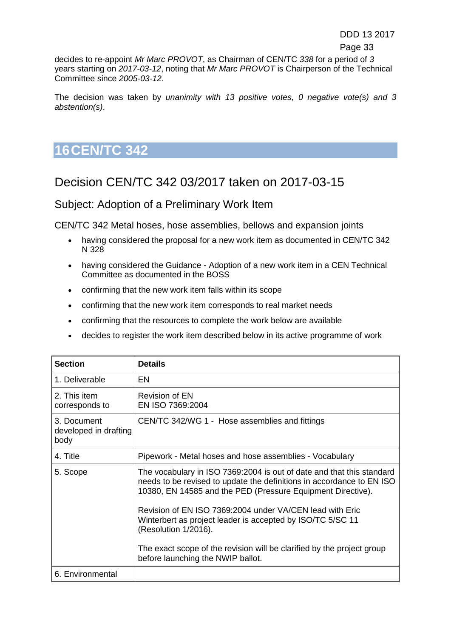decides to re-appoint *Mr Marc PROVOT*, as Chairman of CEN/TC *338* for a period of *3*  years starting on *2017-03-12*, noting that *Mr Marc PROVOT* is Chairperson of the Technical Committee since *2005-03-12*.

The decision was taken by *unanimity with 13 positive votes, 0 negative vote(s) and 3 abstention(s)*.

# **16CEN/TC 342**

## <span id="page-32-0"></span>Decision CEN/TC 342 03/2017 taken on 2017-03-15

### Subject: Adoption of a Preliminary Work Item

CEN/TC 342 Metal hoses, hose assemblies, bellows and expansion joints

- having considered the proposal for a new work item as documented in CEN/TC 342 N 328
- having considered the Guidance Adoption of a new work item in a CEN Technical Committee as documented in the BOSS
- confirming that the new work item falls within its scope
- confirming that the new work item corresponds to real market needs
- confirming that the resources to complete the work below are available
- decides to register the work item described below in its active programme of work

| <b>Section</b>                               | <b>Details</b>                                                                                                                                                                                                |
|----------------------------------------------|---------------------------------------------------------------------------------------------------------------------------------------------------------------------------------------------------------------|
| 1. Deliverable                               | EN                                                                                                                                                                                                            |
| 2. This item<br>corresponds to               | Revision of EN<br>EN ISO 7369:2004                                                                                                                                                                            |
| 3. Document<br>developed in drafting<br>body | CEN/TC 342/WG 1 - Hose assemblies and fittings                                                                                                                                                                |
| 4. Title                                     | Pipework - Metal hoses and hose assemblies - Vocabulary                                                                                                                                                       |
| 5. Scope                                     | The vocabulary in ISO 7369:2004 is out of date and that this standard<br>needs to be revised to update the definitions in accordance to EN ISO<br>10380, EN 14585 and the PED (Pressure Equipment Directive). |
|                                              | Revision of EN ISO 7369:2004 under VA/CEN lead with Eric<br>Winterbert as project leader is accepted by ISO/TC 5/SC 11<br>(Resolution 1/2016).                                                                |
|                                              | The exact scope of the revision will be clarified by the project group<br>before launching the NWIP ballot.                                                                                                   |
| 6. Environmental                             |                                                                                                                                                                                                               |